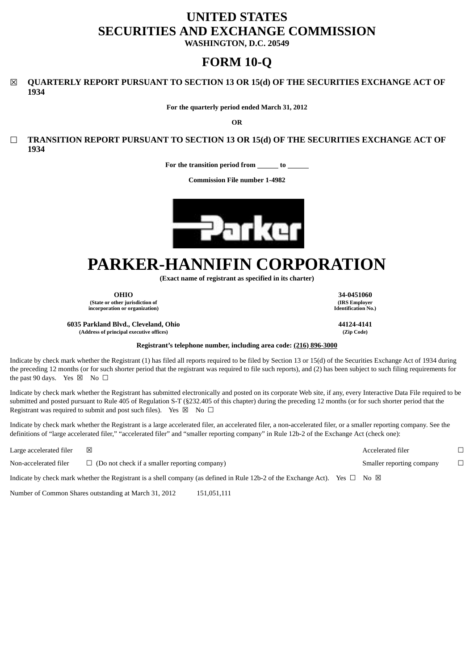# **UNITED STATES SECURITIES AND EXCHANGE COMMISSION**

**WASHINGTON, D.C. 20549**

# **FORM 10-Q**

# ☒ **QUARTERLY REPORT PURSUANT TO SECTION 13 OR 15(d) OF THE SECURITIES EXCHANGE ACT OF 1934**

**For the quarterly period ended March 31, 2012**

**OR**

☐ **TRANSITION REPORT PURSUANT TO SECTION 13 OR 15(d) OF THE SECURITIES EXCHANGE ACT OF 1934**

**For the transition period from to** 

**Commission File number 1-4982**



# **PARKER-HANNIFIN CORPORATION**

**(Exact name of registrant as specified in its charter)**

**(State or other jurisdiction of incorporation or organization)**

**OHIO 34-0451060 (IRS Employer Identification No.)**

**6035 Parkland Blvd., Cleveland, Ohio 44124-4141 (Address of principal executive offices) (Zip Code)**

#### **Registrant's telephone number, including area code: (216) 896-3000**

Indicate by check mark whether the Registrant (1) has filed all reports required to be filed by Section 13 or 15(d) of the Securities Exchange Act of 1934 during the preceding 12 months (or for such shorter period that the registrant was required to file such reports), and (2) has been subject to such filing requirements for the past 90 days. Yes  $\boxtimes$  No  $\Box$ 

Indicate by check mark whether the Registrant has submitted electronically and posted on its corporate Web site, if any, every Interactive Data File required to be submitted and posted pursuant to Rule 405 of Regulation S-T (§232.405 of this chapter) during the preceding 12 months (or for such shorter period that the Registrant was required to submit and post such files). Yes  $\boxtimes$  No  $\Box$ 

Indicate by check mark whether the Registrant is a large accelerated filer, an accelerated filer, a non-accelerated filer, or a smaller reporting company. See the definitions of "large accelerated filer," "accelerated filer" and "smaller reporting company" in Rule 12b-2 of the Exchange Act (check one):

| Large accelerated filer | $\mathsf{\overline{x}}$                                                                                                     | Accelerated filer         |  |
|-------------------------|-----------------------------------------------------------------------------------------------------------------------------|---------------------------|--|
| Non-accelerated filer   | $\Box$ (Do not check if a smaller reporting company)                                                                        | Smaller reporting company |  |
|                         | Indicate by check mark whether the Registrant is a shell company (as defined in Rule 12b-2 of the Exchange Act). Yes $\Box$ | No <b>X</b>               |  |

Number of Common Shares outstanding at March 31, 2012 151,051,111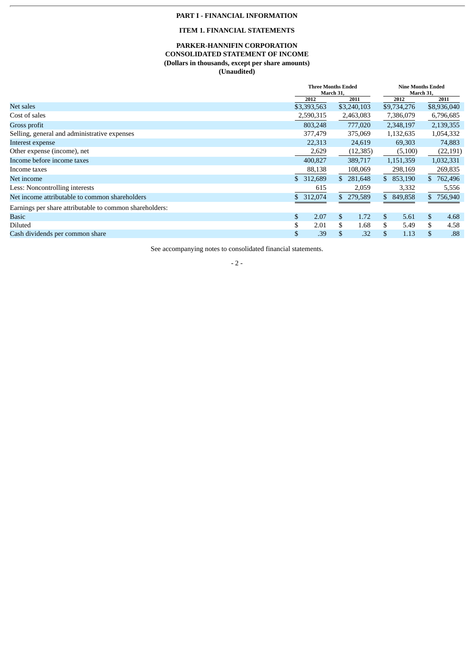## **PART I - FINANCIAL INFORMATION**

# **ITEM 1. FINANCIAL STATEMENTS**

#### **PARKER-HANNIFIN CORPORATION CONSOLIDATED STATEMENT OF INCOME (Dollars in thousands, except per share amounts) (Unaudited)**

|                                                         |               | <b>Three Months Ended</b><br>March 31, |     |             | <b>Nine Months Ended</b><br>March 31, |             |    |             |
|---------------------------------------------------------|---------------|----------------------------------------|-----|-------------|---------------------------------------|-------------|----|-------------|
|                                                         |               | 2012                                   |     | 2011        |                                       | 2012        |    | 2011        |
| Net sales                                               |               | \$3,393,563                            |     | \$3,240,103 |                                       | \$9,734,276 |    | \$8,936,040 |
| Cost of sales                                           |               | 2,590,315                              |     | 2,463,083   |                                       | 7,386,079   |    | 6,796,685   |
| Gross profit                                            |               | 803,248                                |     | 777,020     |                                       | 2,348,197   |    | 2,139,355   |
| Selling, general and administrative expenses            |               | 377,479                                |     | 375,069     |                                       | 1,132,635   |    | 1,054,332   |
| Interest expense                                        |               | 22,313                                 |     | 24,619      |                                       | 69,303      |    | 74,883      |
| Other expense (income), net                             |               | 2,629                                  |     | (12, 385)   |                                       | (5,100)     |    | (22, 191)   |
| Income before income taxes                              |               | 400,827                                |     | 389,717     |                                       | 1,151,359   |    | 1,032,331   |
| Income taxes                                            |               | 88,138                                 |     | 108,069     |                                       | 298,169     |    | 269,835     |
| Net income                                              |               | \$ 312,689                             | S.  | 281,648     |                                       | \$ 853,190  | S. | 762,496     |
| Less: Noncontrolling interests                          |               | 615                                    |     | 2,059       |                                       | 3,332       |    | 5,556       |
| Net income attributable to common shareholders          | $\mathcal{S}$ | 312,074                                | \$. | 279,589     | $\mathbf{s}$                          | 849,858     |    | 756,940     |
| Earnings per share attributable to common shareholders: |               |                                        |     |             |                                       |             |    |             |
| Basic                                                   | \$            | 2.07                                   | \$  | 1.72        | \$.                                   | 5.61        | \$ | 4.68        |
| Diluted                                                 |               | 2.01                                   | \$  | 1.68        | \$                                    | 5.49        |    | 4.58        |
| Cash dividends per common share                         |               | .39                                    | \$  | .32         | \$                                    | 1.13        |    | .88         |

See accompanying notes to consolidated financial statements.

<sup>- 2 -</sup>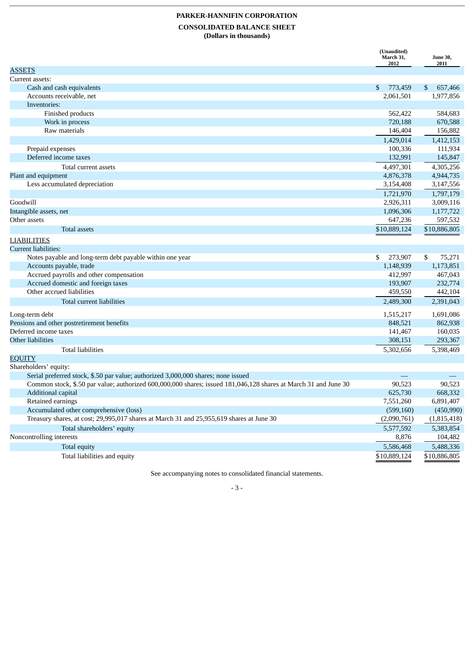**CONSOLIDATED BALANCE SHEET**

**(Dollars in thousands)**

|                                                                                                                 | (Unaudited)<br>March 31,<br>2012 | June 30,<br>2011 |
|-----------------------------------------------------------------------------------------------------------------|----------------------------------|------------------|
| <b>ASSETS</b>                                                                                                   |                                  |                  |
| Current assets:                                                                                                 |                                  |                  |
| Cash and cash equivalents                                                                                       | \$<br>773,459                    | 657,466<br>\$    |
| Accounts receivable, net                                                                                        | 2,061,501                        | 1,977,856        |
| Inventories:                                                                                                    |                                  |                  |
| Finished products                                                                                               | 562,422                          | 584,683          |
| Work in process                                                                                                 | 720,188                          | 670,588          |
| Raw materials                                                                                                   | 146,404                          | 156,882          |
|                                                                                                                 | 1,429,014                        | 1,412,153        |
| Prepaid expenses                                                                                                | 100,336                          | 111,934          |
| Deferred income taxes                                                                                           | 132,991                          | 145,847          |
| Total current assets                                                                                            | 4,497,301                        | 4,305,256        |
| Plant and equipment                                                                                             | 4,876,378                        | 4,944,735        |
| Less accumulated depreciation                                                                                   | 3,154,408                        | 3,147,556        |
|                                                                                                                 | 1,721,970                        | 1,797,179        |
| Goodwill                                                                                                        | 2,926,311                        | 3,009,116        |
| Intangible assets, net                                                                                          | 1,096,306                        | 1,177,722        |
| Other assets                                                                                                    | 647,236                          | 597,532          |
| <b>Total assets</b>                                                                                             | \$10,889,124                     | \$10,886,805     |
| <b>LIABILITIES</b>                                                                                              |                                  |                  |
| <b>Current liabilities:</b>                                                                                     |                                  |                  |
| Notes payable and long-term debt payable within one year                                                        | \$<br>273,907                    | \$<br>75,271     |
| Accounts payable, trade                                                                                         | 1,148,939                        | 1,173,851        |
| Accrued payrolls and other compensation                                                                         | 412,997                          | 467,043          |
| Accrued domestic and foreign taxes                                                                              | 193,907                          | 232,774          |
| Other accrued liabilities                                                                                       | 459,550                          | 442,104          |
| Total current liabilities                                                                                       | 2,489,300                        | 2,391,043        |
| Long-term debt                                                                                                  | 1,515,217                        | 1,691,086        |
| Pensions and other postretirement benefits                                                                      | 848,521                          | 862,938          |
| Deferred income taxes                                                                                           | 141,467                          | 160,035          |
| <b>Other liabilities</b>                                                                                        | 308,151                          | 293,367          |
| <b>Total liabilities</b>                                                                                        | 5,302,656                        | 5,398,469        |
| <b>EQUITY</b>                                                                                                   |                                  |                  |
| Shareholders' equity:                                                                                           |                                  |                  |
| Serial preferred stock, \$.50 par value; authorized 3,000,000 shares; none issued                               |                                  |                  |
| Common stock, \$.50 par value; authorized 600,000,000 shares; issued 181,046,128 shares at March 31 and June 30 | 90,523                           | 90,523           |
| Additional capital                                                                                              | 625,730                          | 668,332          |
| Retained earnings                                                                                               | 7,551,260                        | 6,891,407        |
| Accumulated other comprehensive (loss)                                                                          | (599, 160)                       | (450,990)        |
| Treasury shares, at cost; 29,995,017 shares at March 31 and 25,955,619 shares at June 30                        | (2,090,761)                      | (1,815,418)      |
| Total shareholders' equity                                                                                      | 5,577,592                        | 5,383,854        |
| Noncontrolling interests                                                                                        | 8,876                            | 104,482          |
| <b>Total equity</b>                                                                                             | 5,586,468                        | 5,488,336        |
| Total liabilities and equity                                                                                    | \$10,889,124                     | \$10,886,805     |

See accompanying notes to consolidated financial statements.

- 3 -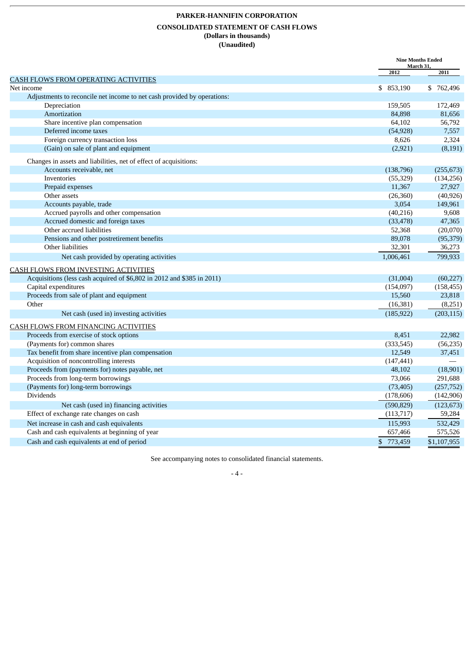**CONSOLIDATED STATEMENT OF CASH FLOWS**

**(Dollars in thousands)**

**(Unaudited)**

|                                                                         | March 31,  | <b>Nine Months Ended</b> |
|-------------------------------------------------------------------------|------------|--------------------------|
|                                                                         | 2012       | 2011                     |
| CASH FLOWS FROM OPERATING ACTIVITIES                                    |            |                          |
| Net income                                                              | \$853,190  | \$762,496                |
| Adjustments to reconcile net income to net cash provided by operations: |            |                          |
| Depreciation                                                            | 159,505    | 172,469                  |
| Amortization                                                            | 84.898     | 81,656                   |
| Share incentive plan compensation                                       | 64,102     | 56,792                   |
| Deferred income taxes                                                   | (54, 928)  | 7,557                    |
| Foreign currency transaction loss                                       | 8,626      | 2,324                    |
| (Gain) on sale of plant and equipment                                   | (2,921)    | (8, 191)                 |
| Changes in assets and liabilities, net of effect of acquisitions:       |            |                          |
| Accounts receivable, net                                                | (138, 796) | (255, 673)               |
| Inventories                                                             | (55, 329)  | (134, 256)               |
| Prepaid expenses                                                        | 11,367     | 27,927                   |
| Other assets                                                            | (26, 360)  | (40, 926)                |
| Accounts payable, trade                                                 | 3,054      | 149,961                  |
| Accrued payrolls and other compensation                                 | (40, 216)  | 9,608                    |
| Accrued domestic and foreign taxes                                      | (33, 478)  | 47,365                   |
| Other accrued liabilities                                               | 52,368     | (20,070)                 |
| Pensions and other postretirement benefits                              | 89.078     | (95, 379)                |
| Other liabilities                                                       | 32,301     | 36,273                   |
| Net cash provided by operating activities                               | 1,006,461  | 799,933                  |
| CASH FLOWS FROM INVESTING ACTIVITIES                                    |            |                          |
| Acquisitions (less cash acquired of \$6,802 in 2012 and \$385 in 2011)  | (31,004)   | (60, 227)                |
| Capital expenditures                                                    | (154, 097) | (158, 455)               |
| Proceeds from sale of plant and equipment                               | 15,560     | 23,818                   |
| Other                                                                   | (16, 381)  | (8,251)                  |
| Net cash (used in) investing activities                                 | (185, 922) | (203, 115)               |
| CASH FLOWS FROM FINANCING ACTIVITIES                                    |            |                          |
| Proceeds from exercise of stock options                                 | 8,451      | 22,982                   |
| (Payments for) common shares                                            | (333, 545) | (56, 235)                |
| Tax benefit from share incentive plan compensation                      | 12,549     | 37,451                   |
| Acquisition of noncontrolling interests                                 | (147, 441) |                          |
| Proceeds from (payments for) notes payable, net                         | 48,102     | (18,901)                 |
| Proceeds from long-term borrowings                                      | 73,066     | 291,688                  |
| (Payments for) long-term borrowings                                     | (73, 405)  | (257, 752)               |
| Dividends                                                               | (178, 606) | (142, 906)               |
| Net cash (used in) financing activities                                 | (590, 829) | (123, 673)               |
| Effect of exchange rate changes on cash                                 | (113, 717) | 59,284                   |
| Net increase in cash and cash equivalents                               | 115,993    | 532,429                  |
| Cash and cash equivalents at beginning of year                          | 657,466    | 575,526                  |
| Cash and cash equivalents at end of period                              | \$773,459  | \$1,107,955              |
|                                                                         |            |                          |

See accompanying notes to consolidated financial statements.

- 4 -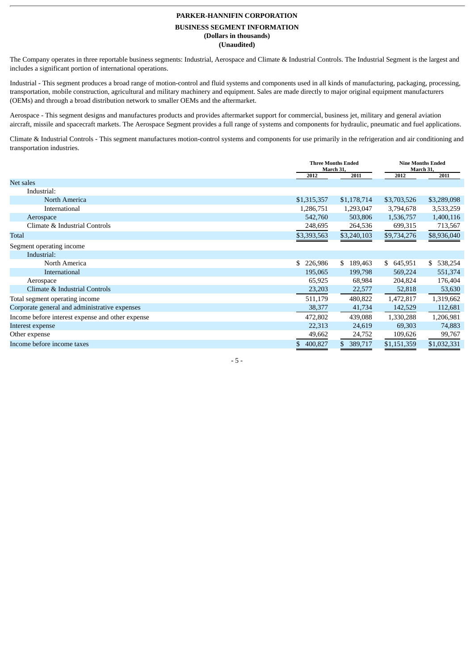#### **BUSINESS SEGMENT INFORMATION (Dollars in thousands) (Unaudited)**

The Company operates in three reportable business segments: Industrial, Aerospace and Climate & Industrial Controls. The Industrial Segment is the largest and includes a significant portion of international operations.

Industrial - This segment produces a broad range of motion-control and fluid systems and components used in all kinds of manufacturing, packaging, processing, transportation, mobile construction, agricultural and military machinery and equipment. Sales are made directly to major original equipment manufacturers (OEMs) and through a broad distribution network to smaller OEMs and the aftermarket.

Aerospace - This segment designs and manufactures products and provides aftermarket support for commercial, business jet, military and general aviation aircraft, missile and spacecraft markets. The Aerospace Segment provides a full range of systems and components for hydraulic, pneumatic and fuel applications.

Climate & Industrial Controls - This segment manufactures motion-control systems and components for use primarily in the refrigeration and air conditioning and transportation industries.

|                                                  |               | <b>Three Months Ended</b><br>March 31, |               | <b>Nine Months Ended</b><br>March 31, |
|--------------------------------------------------|---------------|----------------------------------------|---------------|---------------------------------------|
|                                                  | 2012          | 2011                                   | 2012          | 2011                                  |
| Net sales                                        |               |                                        |               |                                       |
| Industrial:                                      |               |                                        |               |                                       |
| North America                                    | \$1,315,357   | \$1,178,714                            | \$3,703,526   | \$3,289,098                           |
| International                                    | 1,286,751     | 1,293,047                              | 3,794,678     | 3,533,259                             |
| Aerospace                                        | 542,760       | 503,806                                | 1,536,757     | 1,400,116                             |
| Climate & Industrial Controls                    | 248,695       | 264,536                                | 699,315       | 713,567                               |
| Total                                            | \$3,393,563   | \$3,240,103                            | \$9,734,276   | \$8,936,040                           |
| Segment operating income                         |               |                                        |               |                                       |
| Industrial:                                      |               |                                        |               |                                       |
| North America                                    | \$<br>226,986 | 189,463<br>\$                          | 645,951<br>\$ | 538,254<br>\$                         |
| International                                    | 195,065       | 199,798                                | 569,224       | 551,374                               |
| Aerospace                                        | 65,925        | 68,984                                 | 204,824       | 176,404                               |
| Climate & Industrial Controls                    | 23,203        | 22,577                                 | 52,818        | 53,630                                |
| Total segment operating income                   | 511,179       | 480,822                                | 1,472,817     | 1,319,662                             |
| Corporate general and administrative expenses    | 38,377        | 41,734                                 | 142,529       | 112,681                               |
| Income before interest expense and other expense | 472,802       | 439,088                                | 1,330,288     | 1,206,981                             |
| Interest expense                                 | 22,313        | 24,619                                 | 69,303        | 74,883                                |
| Other expense                                    | 49,662        | 24,752                                 | 109,626       | 99,767                                |
| Income before income taxes                       | \$<br>400,827 | 389,717                                | \$1,151,359   | \$1,032,331                           |

- 5 -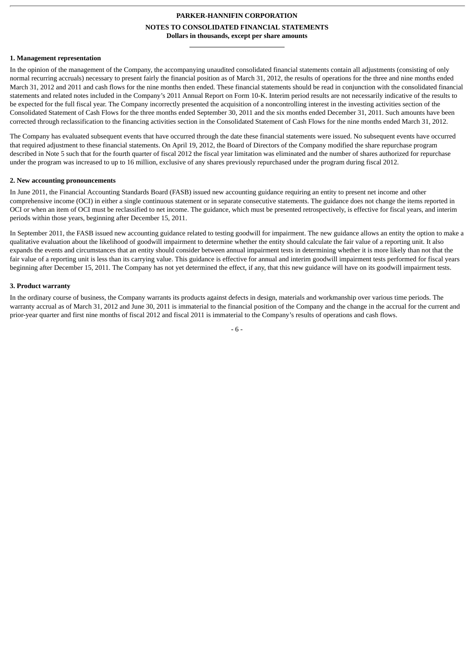# **PARKER-HANNIFIN CORPORATION NOTES TO CONSOLIDATED FINANCIAL STATEMENTS Dollars in thousands, except per share amounts**

#### **1. Management representation**

In the opinion of the management of the Company, the accompanying unaudited consolidated financial statements contain all adjustments (consisting of only normal recurring accruals) necessary to present fairly the financial position as of March 31, 2012, the results of operations for the three and nine months ended March 31, 2012 and 2011 and cash flows for the nine months then ended. These financial statements should be read in conjunction with the consolidated financial statements and related notes included in the Company's 2011 Annual Report on Form 10-K. Interim period results are not necessarily indicative of the results to be expected for the full fiscal year. The Company incorrectly presented the acquisition of a noncontrolling interest in the investing activities section of the Consolidated Statement of Cash Flows for the three months ended September 30, 2011 and the six months ended December 31, 2011. Such amounts have been corrected through reclassification to the financing activities section in the Consolidated Statement of Cash Flows for the nine months ended March 31, 2012.

The Company has evaluated subsequent events that have occurred through the date these financial statements were issued. No subsequent events have occurred that required adjustment to these financial statements. On April 19, 2012, the Board of Directors of the Company modified the share repurchase program described in Note 5 such that for the fourth quarter of fiscal 2012 the fiscal year limitation was eliminated and the number of shares authorized for repurchase under the program was increased to up to 16 million, exclusive of any shares previously repurchased under the program during fiscal 2012.

#### **2. New accounting pronouncements**

In June 2011, the Financial Accounting Standards Board (FASB) issued new accounting guidance requiring an entity to present net income and other comprehensive income (OCI) in either a single continuous statement or in separate consecutive statements. The guidance does not change the items reported in OCI or when an item of OCI must be reclassified to net income. The guidance, which must be presented retrospectively, is effective for fiscal years, and interim periods within those years, beginning after December 15, 2011.

In September 2011, the FASB issued new accounting guidance related to testing goodwill for impairment. The new guidance allows an entity the option to make a qualitative evaluation about the likelihood of goodwill impairment to determine whether the entity should calculate the fair value of a reporting unit. It also expands the events and circumstances that an entity should consider between annual impairment tests in determining whether it is more likely than not that the fair value of a reporting unit is less than its carrying value. This guidance is effective for annual and interim goodwill impairment tests performed for fiscal years beginning after December 15, 2011. The Company has not yet determined the effect, if any, that this new guidance will have on its goodwill impairment tests.

#### **3. Product warranty**

In the ordinary course of business, the Company warrants its products against defects in design, materials and workmanship over various time periods. The warranty accrual as of March 31, 2012 and June 30, 2011 is immaterial to the financial position of the Company and the change in the accrual for the current and prior-year quarter and first nine months of fiscal 2012 and fiscal 2011 is immaterial to the Company's results of operations and cash flows.

- 6 -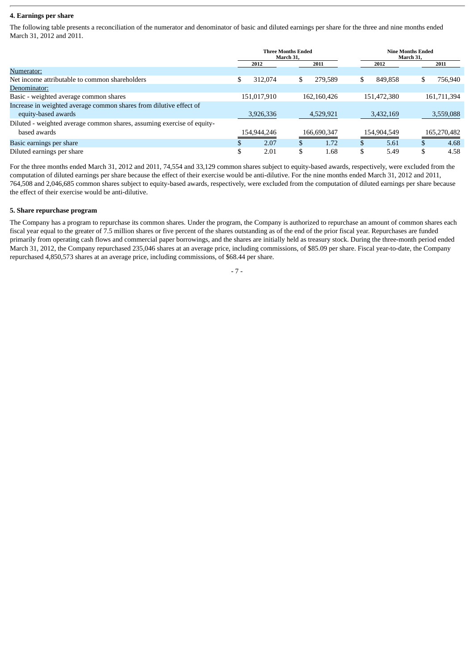#### **4. Earnings per share**

The following table presents a reconciliation of the numerator and denominator of basic and diluted earnings per share for the three and nine months ended March 31, 2012 and 2011.

|                                                                        | <b>Three Months Ended</b><br>March 31, |             |    |             | <b>Nine Months Ended</b><br>March 31, |             |     |             |
|------------------------------------------------------------------------|----------------------------------------|-------------|----|-------------|---------------------------------------|-------------|-----|-------------|
|                                                                        |                                        | 2012        |    | 2011        |                                       | 2012        |     | 2011        |
| Numerator:                                                             |                                        |             |    |             |                                       |             |     |             |
| Net income attributable to common shareholders                         | \$                                     | 312,074     | \$ | 279.589     | \$                                    | 849.858     | \$  | 756.940     |
| Denominator:                                                           |                                        |             |    |             |                                       |             |     |             |
| Basic - weighted average common shares                                 |                                        | 151,017,910 |    | 162,160,426 |                                       | 151,472,380 |     | 161,711,394 |
| Increase in weighted average common shares from dilutive effect of     |                                        |             |    |             |                                       |             |     |             |
| equity-based awards                                                    |                                        | 3,926,336   |    | 4,529,921   |                                       | 3,432,169   |     | 3,559,088   |
| Diluted - weighted average common shares, assuming exercise of equity- |                                        |             |    |             |                                       |             |     |             |
| based awards                                                           |                                        | 154,944,246 |    | 166,690,347 |                                       | 154,904,549 |     | 165,270,482 |
| Basic earnings per share                                               |                                        | 2.07        |    | 1.72        |                                       | 5.61        | \$. | 4.68        |
| Diluted earnings per share                                             | \$                                     | 2.01        | \$ | 1.68        | \$                                    | 5.49        | \$  | 4.58        |

For the three months ended March 31, 2012 and 2011, 74,554 and 33,129 common shares subject to equity-based awards, respectively, were excluded from the computation of diluted earnings per share because the effect of their exercise would be anti-dilutive. For the nine months ended March 31, 2012 and 2011, 764,508 and 2,046,685 common shares subject to equity-based awards, respectively, were excluded from the computation of diluted earnings per share because the effect of their exercise would be anti-dilutive.

#### **5. Share repurchase program**

The Company has a program to repurchase its common shares. Under the program, the Company is authorized to repurchase an amount of common shares each fiscal year equal to the greater of 7.5 million shares or five percent of the shares outstanding as of the end of the prior fiscal year. Repurchases are funded primarily from operating cash flows and commercial paper borrowings, and the shares are initially held as treasury stock. During the three-month period ended March 31, 2012, the Company repurchased 235,046 shares at an average price, including commissions, of \$85.09 per share. Fiscal year-to-date, the Company repurchased 4,850,573 shares at an average price, including commissions, of \$68.44 per share.

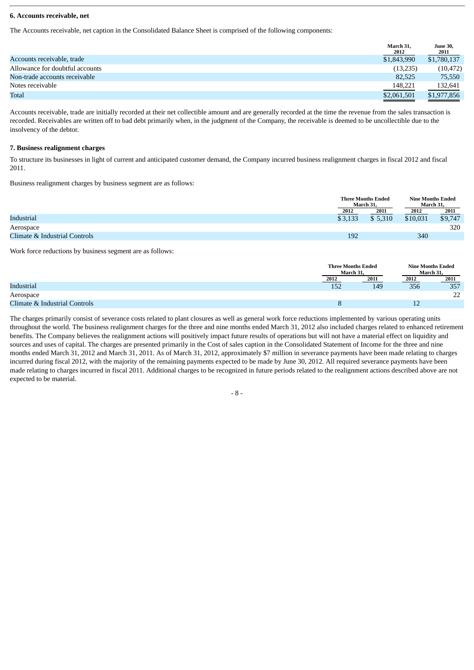#### **6. Accounts receivable, net**

The Accounts receivable, net caption in the Consolidated Balance Sheet is comprised of the following components:

|                                 | March 31.   | <b>June 30,</b> |
|---------------------------------|-------------|-----------------|
|                                 | 2012        | 2011            |
| Accounts receivable, trade      | \$1,843,990 | \$1,780,137     |
| Allowance for doubtful accounts | (13, 235)   | (10, 472)       |
| Non-trade accounts receivable   | 82,525      | 75,550          |
| Notes receivable                | 148,221     | 132,641         |
| Total                           | \$2,061,501 | \$1,977,856     |

Accounts receivable, trade are initially recorded at their net collectible amount and are generally recorded at the time the revenue from the sales transaction is recorded. Receivables are written off to bad debt primarily when, in the judgment of the Company, the receivable is deemed to be uncollectible due to the insolvency of the debtor.

#### **7. Business realignment charges**

To structure its businesses in light of current and anticipated customer demand, the Company incurred business realignment charges in fiscal 2012 and fiscal 2011.

Business realignment charges by business segment are as follows:

|                               | <b>Three Months Ended</b><br>March 31. |         | <b>Nine Months Ended</b><br>March 31. |         |
|-------------------------------|----------------------------------------|---------|---------------------------------------|---------|
|                               | 2012                                   | 2011    | 2012                                  | 2011    |
| <b>Industrial</b>             | \$3,133                                | \$5,310 | \$10,031                              | \$9,747 |
| Aerospace                     |                                        |         |                                       | 320     |
| Climate & Industrial Controls | 192                                    |         | 340                                   |         |

Work force reductions by business segment are as follows:

|                               |      | <b>Three Months Ended</b><br>March 31. |      | <b>Nine Months Ended</b><br>March 31. |  |
|-------------------------------|------|----------------------------------------|------|---------------------------------------|--|
|                               | 2012 | 2011                                   | 2012 | 2011                                  |  |
| Industrial                    | 152  | 149                                    | 356  | 357                                   |  |
| Aerospace                     |      |                                        |      | $\sim$<br>$\overline{\phantom{a}}$    |  |
| Climate & Industrial Controls |      |                                        |      |                                       |  |

The charges primarily consist of severance costs related to plant closures as well as general work force reductions implemented by various operating units throughout the world. The business realignment charges for the three and nine months ended March 31, 2012 also included charges related to enhanced retirement benefits. The Company believes the realignment actions will positively impact future results of operations but will not have a material effect on liquidity and sources and uses of capital. The charges are presented primarily in the Cost of sales caption in the Consolidated Statement of Income for the three and nine months ended March 31, 2012 and March 31, 2011. As of March 31, 2012, approximately \$7 million in severance payments have been made relating to charges incurred during fiscal 2012, with the majority of the remaining payments expected to be made by June 30, 2012. All required severance payments have been made relating to charges incurred in fiscal 2011. Additional charges to be recognized in future periods related to the realignment actions described above are not expected to be material.

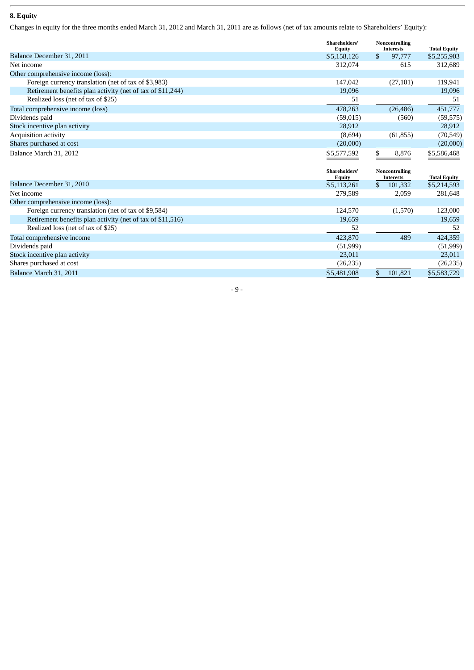# **8. Equity**

Changes in equity for the three months ended March 31, 2012 and March 31, 2011 are as follows (net of tax amounts relate to Shareholders' Equity):

|                                                            | Shareholders'<br><b>Equity</b> | Noncontrolling<br><b>Interests</b> | <b>Total Equity</b> |
|------------------------------------------------------------|--------------------------------|------------------------------------|---------------------|
| Balance December 31, 2011                                  | \$5,158,126                    | \$<br>97,777                       | \$5,255,903         |
| Net income                                                 | 312,074                        | 615                                | 312,689             |
| Other comprehensive income (loss):                         |                                |                                    |                     |
| Foreign currency translation (net of tax of \$3,983)       | 147,042                        | (27, 101)                          | 119,941             |
| Retirement benefits plan activity (net of tax of \$11,244) | 19,096                         |                                    | 19,096              |
| Realized loss (net of tax of \$25)                         | 51                             |                                    | 51                  |
| Total comprehensive income (loss)                          | 478,263                        | (26, 486)                          | 451,777             |
| Dividends paid                                             | (59,015)                       | (560)                              | (59, 575)           |
| Stock incentive plan activity                              | 28,912                         |                                    | 28,912              |
| <b>Acquisition activity</b>                                | (8,694)                        | (61, 855)                          | (70, 549)           |
| Shares purchased at cost                                   | (20,000)                       |                                    | (20,000)            |
| Balance March 31, 2012                                     | \$5,577,592                    | \$<br>8,876                        | \$5,586,468         |
|                                                            | Shareholders'<br><b>Equity</b> | Noncontrolling<br><b>Interests</b> | <b>Total Equity</b> |
| Balance December 31, 2010                                  | \$5,113,261                    | \$<br>101,332                      | \$5,214,593         |
| Net income                                                 | 279,589                        | 2,059                              | 281,648             |
| Other comprehensive income (loss):                         |                                |                                    |                     |
| Foreign currency translation (net of tax of \$9,584)       | 124,570                        | (1,570)                            | 123,000             |
| Retirement benefits plan activity (net of tax of \$11,516) | 19,659                         |                                    | 19,659              |
| Realized loss (net of tax of \$25)                         | 52                             |                                    | 52                  |
| Total comprehensive income                                 | 423,870                        | 489                                | 424,359             |
| Dividends paid                                             | (51,999)                       |                                    | (51, 999)           |
| Stock incentive plan activity                              | 23,011                         |                                    | 23,011              |
| Shares purchased at cost                                   | (26, 235)                      |                                    | (26, 235)           |
| Balance March 31, 2011                                     | \$5,481,908                    | 101,821<br>\$                      | \$5,583,729         |

- 9 -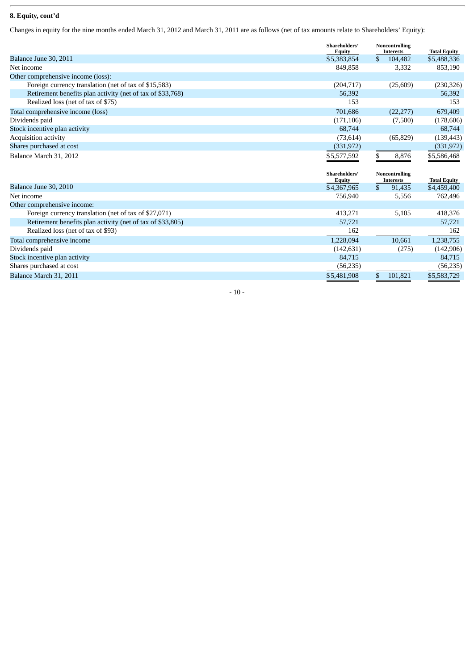# **8. Equity, cont'd**

Changes in equity for the nine months ended March 31, 2012 and March 31, 2011 are as follows (net of tax amounts relate to Shareholders' Equity):

|                                                                                                  | Shareholders'<br>Equity | Noncontrolling<br><b>Interests</b> | <b>Total Equity</b> |
|--------------------------------------------------------------------------------------------------|-------------------------|------------------------------------|---------------------|
| Balance June 30, 2011                                                                            | \$5,383,854             | $\mathbf{s}$<br>104,482            | \$5,488,336         |
| Net income                                                                                       | 849,858                 | 3,332                              | 853,190             |
| Other comprehensive income (loss):                                                               |                         |                                    |                     |
| Foreign currency translation (net of tax of \$15,583)                                            | (204, 717)              | (25,609)                           | (230, 326)          |
| Retirement benefits plan activity (net of tax of \$33,768)                                       | 56,392                  |                                    | 56,392              |
| Realized loss (net of tax of \$75)                                                               | 153                     |                                    | 153                 |
| Total comprehensive income (loss)                                                                | 701,686                 | (22, 277)                          | 679,409             |
| Dividends paid                                                                                   | (171, 106)              | (7,500)                            | (178,606)           |
| Stock incentive plan activity                                                                    | 68,744                  |                                    | 68,744              |
| Acquisition activity                                                                             | (73, 614)               | (65, 829)                          | (139, 443)          |
| Shares purchased at cost                                                                         | (331, 972)              |                                    | (331, 972)          |
| Balance March 31, 2012                                                                           | \$5,577,592             | \$<br>8,876                        | \$5,586,468         |
|                                                                                                  |                         |                                    |                     |
|                                                                                                  | Shareholders'           | Noncontrolling                     |                     |
|                                                                                                  | <b>Equity</b>           | <b>Interests</b>                   | <b>Total Equity</b> |
| Balance June 30, 2010                                                                            | \$4,367,965             | \$<br>91,435                       | \$4,459,400         |
| Net income                                                                                       | 756,940                 | 5,556                              | 762,496             |
| Other comprehensive income:                                                                      | 413,271                 |                                    | 418,376             |
| Foreign currency translation (net of tax of \$27,071)                                            | 57,721                  | 5,105                              | 57,721              |
| Retirement benefits plan activity (net of tax of \$33,805)<br>Realized loss (net of tax of \$93) | 162                     |                                    | 162                 |
| Total comprehensive income                                                                       | 1,228,094               | 10,661                             | 1,238,755           |
| Dividends paid                                                                                   | (142, 631)              | (275)                              | (142,906)           |
| Stock incentive plan activity                                                                    | 84,715                  |                                    | 84,715              |
| Shares purchased at cost                                                                         | (56, 235)               |                                    | (56, 235)           |

- 10 -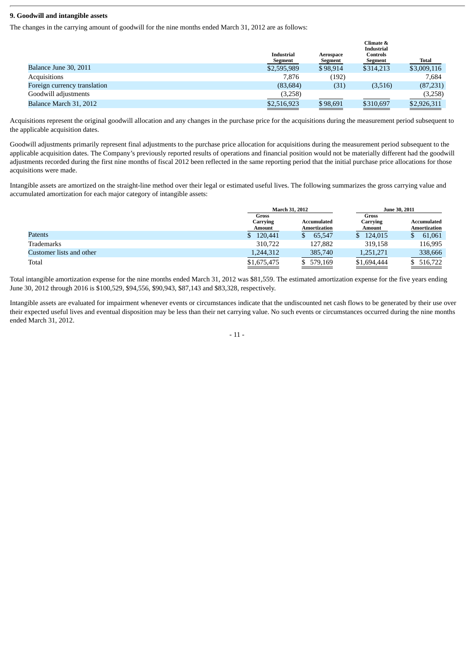#### **9. Goodwill and intangible assets**

The changes in the carrying amount of goodwill for the nine months ended March 31, 2012 are as follows:

|                              | <b>Industrial</b><br>Segment | Aerospace<br><b>Segment</b> | Climate &<br><b>Industrial</b><br>Controls<br>Segment | Total       |
|------------------------------|------------------------------|-----------------------------|-------------------------------------------------------|-------------|
| Balance June 30, 2011        | \$2,595,989                  | \$98,914                    | \$314,213                                             | \$3,009,116 |
| Acquisitions                 | 7.876                        | (192)                       |                                                       | 7,684       |
| Foreign currency translation | (83, 684)                    | (31)                        | (3,516)                                               | (87,231)    |
| Goodwill adjustments         | (3,258)                      |                             |                                                       | (3,258)     |
| Balance March 31, 2012       | \$2,516,923                  | \$98,691                    | \$310,697                                             | \$2,926,311 |
|                              |                              |                             |                                                       |             |

Acquisitions represent the original goodwill allocation and any changes in the purchase price for the acquisitions during the measurement period subsequent to the applicable acquisition dates.

Goodwill adjustments primarily represent final adjustments to the purchase price allocation for acquisitions during the measurement period subsequent to the applicable acquisition dates. The Company's previously reported results of operations and financial position would not be materially different had the goodwill adjustments recorded during the first nine months of fiscal 2012 been reflected in the same reporting period that the initial purchase price allocations for those acquisitions were made.

Intangible assets are amortized on the straight-line method over their legal or estimated useful lives. The following summarizes the gross carrying value and accumulated amortization for each major category of intangible assets:

|                          |                             | <b>March 31, 2012</b>              |                             | June 30, 2011                      |
|--------------------------|-----------------------------|------------------------------------|-----------------------------|------------------------------------|
|                          | Gross<br>Carrying<br>Amount | Accumulated<br><b>Amortization</b> | Gross<br>Carrying<br>Amount | <b>Accumulated</b><br>Amortization |
| Patents                  | \$120,441                   | 65,547                             | 124,015<br>S.               | 61,061                             |
| Trademarks               | 310,722                     | 127,882                            | 319.158                     | 116,995                            |
| Customer lists and other | 1,244,312                   | 385,740                            | 1,251,271                   | 338,666                            |
| Total                    | \$1,675,475                 | 579,169                            | \$1,694,444                 | \$516,722                          |

Total intangible amortization expense for the nine months ended March 31, 2012 was \$81,559. The estimated amortization expense for the five years ending June 30, 2012 through 2016 is \$100,529, \$94,556, \$90,943, \$87,143 and \$83,328, respectively.

Intangible assets are evaluated for impairment whenever events or circumstances indicate that the undiscounted net cash flows to be generated by their use over their expected useful lives and eventual disposition may be less than their net carrying value. No such events or circumstances occurred during the nine months ended March 31, 2012.

- 11 -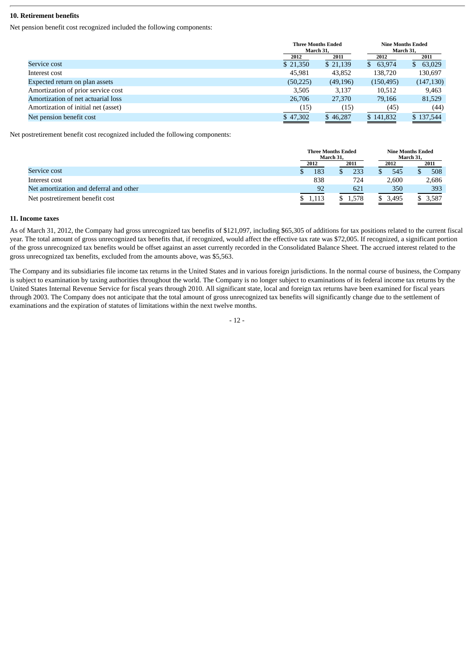#### **10. Retirement benefits**

Net pension benefit cost recognized included the following components:

|                                     |           | <b>Three Months Ended</b><br>March 31. |              | <b>Nine Months Ended</b><br>March 31, |
|-------------------------------------|-----------|----------------------------------------|--------------|---------------------------------------|
|                                     | 2012      | 2011                                   | 2012         | 2011                                  |
| Service cost                        | \$21,350  | \$21,139                               | 63.974<br>S. | 63,029<br>S.                          |
| Interest cost                       | 45,981    | 43,852                                 | 138,720      | 130,697                               |
| Expected return on plan assets      | (50, 225) | (49, 196)                              | (150, 495)   | (147, 130)                            |
| Amortization of prior service cost  | 3.505     | 3.137                                  | 10.512       | 9.463                                 |
| Amortization of net actuarial loss  | 26,706    | 27,370                                 | 79,166       | 81,529                                |
| Amortization of initial net (asset) | (15)      | (15)                                   | (45)         | (44)                                  |
| Net pension benefit cost            | \$47,302  | \$46,287                               | \$141,832    | \$137,544                             |

Net postretirement benefit cost recognized included the following components:

|                                         |         | <b>Three Months Ended</b><br>March 31. |       | <b>Nine Months Ended</b><br>March 31, |
|-----------------------------------------|---------|----------------------------------------|-------|---------------------------------------|
|                                         | 2012    | 2011                                   | 2012  | 2011                                  |
| Service cost                            | 183     | 233                                    | 545   | 508                                   |
| Interest cost                           | 838     | 724                                    | 2,600 | 2,686                                 |
| Net amortization and deferral and other | 92      | 621                                    | 350   | 393                                   |
| Net postretirement benefit cost         | \$1,113 | 1,578                                  | 3,495 | 3,587                                 |

#### **11. Income taxes**

As of March 31, 2012, the Company had gross unrecognized tax benefits of \$121,097, including \$65,305 of additions for tax positions related to the current fiscal year. The total amount of gross unrecognized tax benefits that, if recognized, would affect the effective tax rate was \$72,005. If recognized, a significant portion of the gross unrecognized tax benefits would be offset against an asset currently recorded in the Consolidated Balance Sheet. The accrued interest related to the gross unrecognized tax benefits, excluded from the amounts above, was \$5,563.

The Company and its subsidiaries file income tax returns in the United States and in various foreign jurisdictions. In the normal course of business, the Company is subject to examination by taxing authorities throughout the world. The Company is no longer subject to examinations of its federal income tax returns by the United States Internal Revenue Service for fiscal years through 2010. All significant state, local and foreign tax returns have been examined for fiscal years through 2003. The Company does not anticipate that the total amount of gross unrecognized tax benefits will significantly change due to the settlement of examinations and the expiration of statutes of limitations within the next twelve months.

- 12 -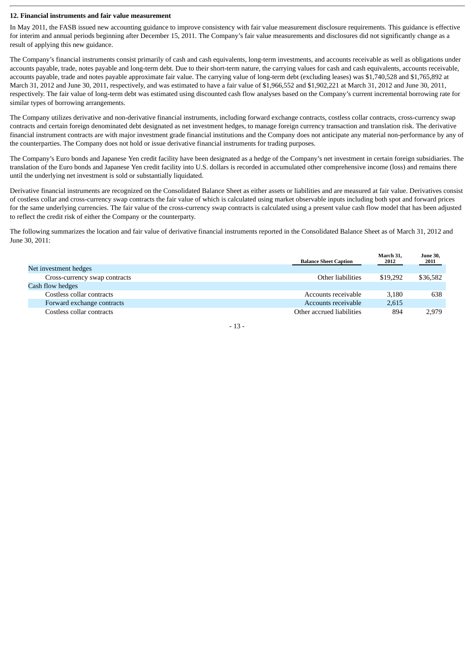#### **12. Financial instruments and fair value measurement**

In May 2011, the FASB issued new accounting guidance to improve consistency with fair value measurement disclosure requirements. This guidance is effective for interim and annual periods beginning after December 15, 2011. The Company's fair value measurements and disclosures did not significantly change as a result of applying this new guidance.

The Company's financial instruments consist primarily of cash and cash equivalents, long-term investments, and accounts receivable as well as obligations under accounts payable, trade, notes payable and long-term debt. Due to their short-term nature, the carrying values for cash and cash equivalents, accounts receivable, accounts payable, trade and notes payable approximate fair value. The carrying value of long-term debt (excluding leases) was \$1,740,528 and \$1,765,892 at March 31, 2012 and June 30, 2011, respectively, and was estimated to have a fair value of \$1,966,552 and \$1,902,221 at March 31, 2012 and June 30, 2011, respectively. The fair value of long-term debt was estimated using discounted cash flow analyses based on the Company's current incremental borrowing rate for similar types of borrowing arrangements.

The Company utilizes derivative and non-derivative financial instruments, including forward exchange contracts, costless collar contracts, cross-currency swap contracts and certain foreign denominated debt designated as net investment hedges, to manage foreign currency transaction and translation risk. The derivative financial instrument contracts are with major investment grade financial institutions and the Company does not anticipate any material non-performance by any of the counterparties. The Company does not hold or issue derivative financial instruments for trading purposes.

The Company's Euro bonds and Japanese Yen credit facility have been designated as a hedge of the Company's net investment in certain foreign subsidiaries. The translation of the Euro bonds and Japanese Yen credit facility into U.S. dollars is recorded in accumulated other comprehensive income (loss) and remains there until the underlying net investment is sold or substantially liquidated.

Derivative financial instruments are recognized on the Consolidated Balance Sheet as either assets or liabilities and are measured at fair value. Derivatives consist of costless collar and cross-currency swap contracts the fair value of which is calculated using market observable inputs including both spot and forward prices for the same underlying currencies. The fair value of the cross-currency swap contracts is calculated using a present value cash flow model that has been adjusted to reflect the credit risk of either the Company or the counterparty.

The following summarizes the location and fair value of derivative financial instruments reported in the Consolidated Balance Sheet as of March 31, 2012 and June 30, 2011:

|                               | <b>Balance Sheet Caption</b> | March 31,<br>2012 | <b>June 30,</b><br>2011 |
|-------------------------------|------------------------------|-------------------|-------------------------|
| Net investment hedges         |                              |                   |                         |
| Cross-currency swap contracts | Other liabilities            | \$19,292          | \$36,582                |
| Cash flow hedges              |                              |                   |                         |
| Costless collar contracts     | Accounts receivable          | 3.180             | 638                     |
| Forward exchange contracts    | Accounts receivable          | 2,615             |                         |
| Costless collar contracts     | Other accrued liabilities    | 894               | 2.979                   |

- 13 -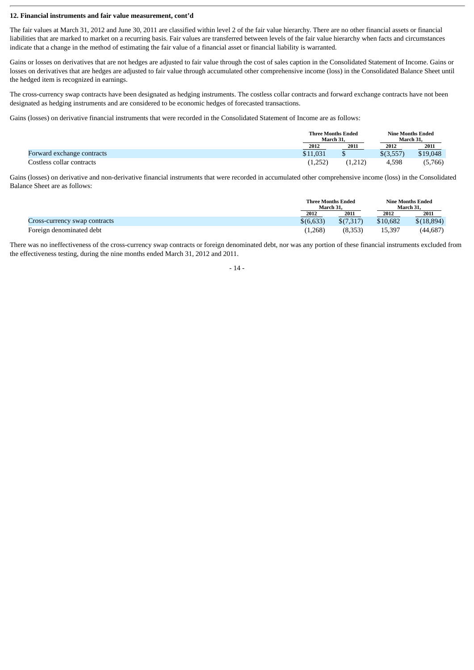#### **12. Financial instruments and fair value measurement, cont'd**

The fair values at March 31, 2012 and June 30, 2011 are classified within level 2 of the fair value hierarchy. There are no other financial assets or financial liabilities that are marked to market on a recurring basis. Fair values are transferred between levels of the fair value hierarchy when facts and circumstances indicate that a change in the method of estimating the fair value of a financial asset or financial liability is warranted.

Gains or losses on derivatives that are not hedges are adjusted to fair value through the cost of sales caption in the Consolidated Statement of Income. Gains or losses on derivatives that are hedges are adjusted to fair value through accumulated other comprehensive income (loss) in the Consolidated Balance Sheet until the hedged item is recognized in earnings.

The cross-currency swap contracts have been designated as hedging instruments. The costless collar contracts and forward exchange contracts have not been designated as hedging instruments and are considered to be economic hedges of forecasted transactions.

Gains (losses) on derivative financial instruments that were recorded in the Consolidated Statement of Income are as follows:

|                            |          | <b>Three Months Ended</b><br>March 31. |           | <b>Nine Months Ended</b><br>March 31. |
|----------------------------|----------|----------------------------------------|-----------|---------------------------------------|
|                            | 2012     | 2011                                   | 2012      | 2011                                  |
| Forward exchange contracts | \$11,031 |                                        | \$(3,557) | \$19,048                              |
| Costless collar contracts  | 1,252    | 1,212                                  | 4,598     | (5,766)                               |

Gains (losses) on derivative and non-derivative financial instruments that were recorded in accumulated other comprehensive income (loss) in the Consolidated Balance Sheet are as follows:

|                               |           | <b>Three Months Ended</b><br>March 31. |          | Nine Months Ended<br>March 31, |
|-------------------------------|-----------|----------------------------------------|----------|--------------------------------|
|                               | 2012      | 2011                                   | 2012     | 2011                           |
| Cross-currency swap contracts | \$(6,633) | \$(7,317)                              | \$10.682 | \$(18,894)                     |
| Foreign denominated debt      | (1,268)   | (8,353)                                | 15,397   | (44,687)                       |

There was no ineffectiveness of the cross-currency swap contracts or foreign denominated debt, nor was any portion of these financial instruments excluded from the effectiveness testing, during the nine months ended March 31, 2012 and 2011.

#### - 14 -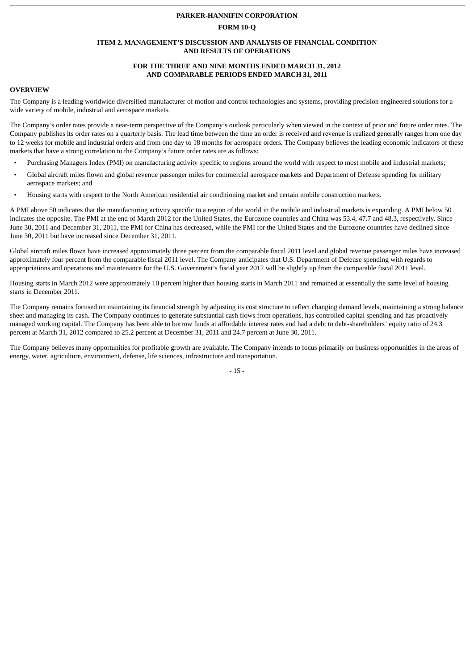#### **FORM 10-Q**

#### **ITEM 2. MANAGEMENT'S DISCUSSION AND ANALYSIS OF FINANCIAL CONDITION AND RESULTS OF OPERATIONS**

#### **FOR THE THREE AND NINE MONTHS ENDED MARCH 31, 2012 AND COMPARABLE PERIODS ENDED MARCH 31, 2011**

#### **OVERVIEW**

The Company is a leading worldwide diversified manufacturer of motion and control technologies and systems, providing precision engineered solutions for a wide variety of mobile, industrial and aerospace markets.

The Company's order rates provide a near-term perspective of the Company's outlook particularly when viewed in the context of prior and future order rates. The Company publishes its order rates on a quarterly basis. The lead time between the time an order is received and revenue is realized generally ranges from one day to 12 weeks for mobile and industrial orders and from one day to 18 months for aerospace orders. The Company believes the leading economic indicators of these markets that have a strong correlation to the Company's future order rates are as follows:

- Purchasing Managers Index (PMI) on manufacturing activity specific to regions around the world with respect to most mobile and industrial markets;
- Global aircraft miles flown and global revenue passenger miles for commercial aerospace markets and Department of Defense spending for military aerospace markets; and
- Housing starts with respect to the North American residential air conditioning market and certain mobile construction markets.

A PMI above 50 indicates that the manufacturing activity specific to a region of the world in the mobile and industrial markets is expanding. A PMI below 50 indicates the opposite. The PMI at the end of March 2012 for the United States, the Eurozone countries and China was 53.4, 47.7 and 48.3, respectively. Since June 30, 2011 and December 31, 2011, the PMI for China has decreased, while the PMI for the United States and the Eurozone countries have declined since June 30, 2011 but have increased since December 31, 2011.

Global aircraft miles flown have increased approximately three percent from the comparable fiscal 2011 level and global revenue passenger miles have increased approximately four percent from the comparable fiscal 2011 level. The Company anticipates that U.S. Department of Defense spending with regards to appropriations and operations and maintenance for the U.S. Government's fiscal year 2012 will be slightly up from the comparable fiscal 2011 level.

Housing starts in March 2012 were approximately 10 percent higher than housing starts in March 2011 and remained at essentially the same level of housing starts in December 2011.

The Company remains focused on maintaining its financial strength by adjusting its cost structure to reflect changing demand levels, maintaining a strong balance sheet and managing its cash. The Company continues to generate substantial cash flows from operations, has controlled capital spending and has proactively managed working capital. The Company has been able to borrow funds at affordable interest rates and had a debt to debt-shareholders' equity ratio of 24.3 percent at March 31, 2012 compared to 25.2 percent at December 31, 2011 and 24.7 percent at June 30, 2011.

The Company believes many opportunities for profitable growth are available. The Company intends to focus primarily on business opportunities in the areas of energy, water, agriculture, environment, defense, life sciences, infrastructure and transportation.

- 15 -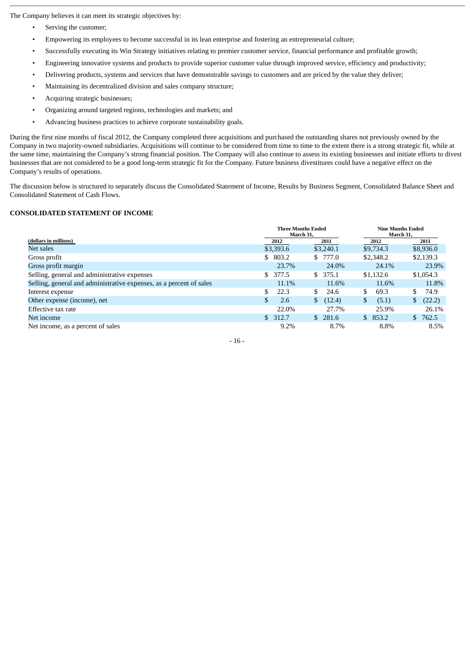The Company believes it can meet its strategic objectives by:

- Serving the customer;
- Empowering its employees to become successful in its lean enterprise and fostering an entrepreneurial culture;
- Successfully executing its Win Strategy initiatives relating to premier customer service, financial performance and profitable growth;
- Engineering innovative systems and products to provide superior customer value through improved service, efficiency and productivity;
- Delivering products, systems and services that have demonstrable savings to customers and are priced by the value they deliver;
- Maintaining its decentralized division and sales company structure;
- Acquiring strategic businesses;
- Organizing around targeted regions, technologies and markets; and
- Advancing business practices to achieve corporate sustainability goals.

During the first nine months of fiscal 2012, the Company completed three acquisitions and purchased the outstanding shares not previously owned by the Company in two majority-owned subsidiaries. Acquisitions will continue to be considered from time to time to the extent there is a strong strategic fit, while at the same time, maintaining the Company's strong financial position. The Company will also continue to assess its existing businesses and initiate efforts to divest businesses that are not considered to be a good long-term strategic fit for the Company. Future business divestitures could have a negative effect on the Company's results of operations.

The discussion below is structured to separately discuss the Consolidated Statement of Income, Results by Business Segment, Consolidated Balance Sheet and Consolidated Statement of Cash Flows.

#### **CONSOLIDATED STATEMENT OF INCOME**

|                                                                     | <b>Three Months Ended</b><br>March 31. |              | <b>Nine Months Ended</b><br>March 31. |              |
|---------------------------------------------------------------------|----------------------------------------|--------------|---------------------------------------|--------------|
| (dollars in millions)                                               | 2012                                   | 2011         | 2012                                  | 2011         |
| Net sales                                                           | \$3,393.6                              | \$3,240.1    | \$9,734.3                             | \$8,936.0    |
| Gross profit                                                        | \$803.2                                | \$ 777.0     | \$2,348.2                             | \$2,139.3    |
| Gross profit margin                                                 | 23.7%                                  | 24.0%        | 24.1%                                 | 23.9%        |
| Selling, general and administrative expenses                        | \$ 377.5                               | \$ 375.1     | \$1,132.6                             | \$1,054.3    |
| Selling, general and administrative expenses, as a percent of sales | 11.1%                                  | 11.6%        | 11.6%                                 | 11.8%        |
| Interest expense                                                    | \$<br>22.3                             | \$<br>24.6   | \$<br>69.3                            | 74.9<br>\$   |
| Other expense (income), net                                         | \$<br>2.6                              | \$<br>(12.4) | \$<br>(5.1)                           | (22.2)<br>\$ |
| Effective tax rate                                                  | 22.0%                                  | 27.7%        | 25.9%                                 | 26.1%        |
| Net income                                                          | \$312.7                                | \$281.6      | 853.2<br>\$.                          | 762.5<br>S.  |
| Net income, as a percent of sales                                   | 9.2%                                   | 8.7%         | 8.8%                                  | 8.5%         |

- 16 -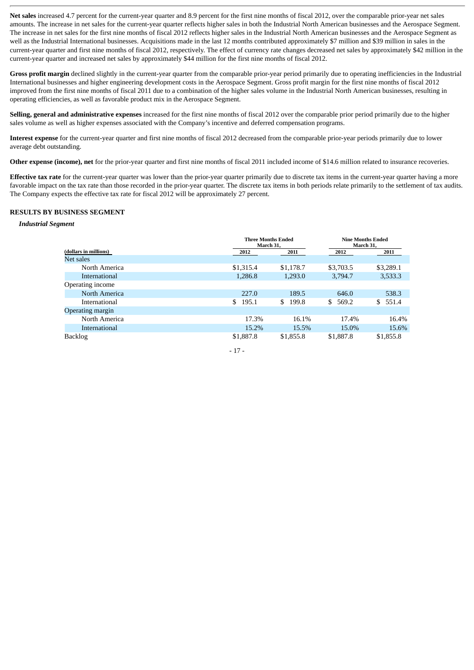**Net sales** increased 4.7 percent for the current-year quarter and 8.9 percent for the first nine months of fiscal 2012, over the comparable prior-year net sales amounts. The increase in net sales for the current-year quarter reflects higher sales in both the Industrial North American businesses and the Aerospace Segment. The increase in net sales for the first nine months of fiscal 2012 reflects higher sales in the Industrial North American businesses and the Aerospace Segment as well as the Industrial International businesses. Acquisitions made in the last 12 months contributed approximately \$7 million and \$39 million in sales in the current-year quarter and first nine months of fiscal 2012, respectively. The effect of currency rate changes decreased net sales by approximately \$42 million in the current-year quarter and increased net sales by approximately \$44 million for the first nine months of fiscal 2012.

Gross profit margin declined slightly in the current-year quarter from the comparable prior-year period primarily due to operating inefficiencies in the Industrial International businesses and higher engineering development costs in the Aerospace Segment. Gross profit margin for the first nine months of fiscal 2012 improved from the first nine months of fiscal 2011 due to a combination of the higher sales volume in the Industrial North American businesses, resulting in operating efficiencies, as well as favorable product mix in the Aerospace Segment.

**Selling, general and administrative expenses** increased for the first nine months of fiscal 2012 over the comparable prior period primarily due to the higher sales volume as well as higher expenses associated with the Company's incentive and deferred compensation programs.

**Interest expense** for the current-year quarter and first nine months of fiscal 2012 decreased from the comparable prior-year periods primarily due to lower average debt outstanding.

**Other expense (income), net** for the prior-year quarter and first nine months of fiscal 2011 included income of \$14.6 million related to insurance recoveries.

**Effective tax rate** for the current-year quarter was lower than the prior-year quarter primarily due to discrete tax items in the current-year quarter having a more favorable impact on the tax rate than those recorded in the prior-year quarter. The discrete tax items in both periods relate primarily to the settlement of tax audits. The Company expects the effective tax rate for fiscal 2012 will be approximately 27 percent.

#### **RESULTS BY BUSINESS SEGMENT**

#### *Industrial Segment*

|                       |             | <b>Three Months Ended</b><br>March 31. |             | <b>Nine Months Ended</b><br>March 31. |  |  |
|-----------------------|-------------|----------------------------------------|-------------|---------------------------------------|--|--|
| (dollars in millions) | 2012        | 2011                                   | 2012        | 2011                                  |  |  |
| Net sales             |             |                                        |             |                                       |  |  |
| North America         | \$1,315.4   | \$1,178.7                              | \$3,703.5   | \$3,289.1                             |  |  |
| International         | 1,286.8     | 1,293.0                                | 3,794.7     | 3,533.3                               |  |  |
| Operating income      |             |                                        |             |                                       |  |  |
| North America         | 227.0       | 189.5                                  | 646.0       | 538.3                                 |  |  |
| International         | \$<br>195.1 | \$<br>199.8                            | 569.2<br>\$ | 551.4<br>\$                           |  |  |
| Operating margin      |             |                                        |             |                                       |  |  |
| North America         | 17.3%       | 16.1%                                  | 17.4%       | 16.4%                                 |  |  |
| <b>International</b>  | 15.2%       | 15.5%                                  | 15.0%       | 15.6%                                 |  |  |
| Backlog               | \$1,887.8   | \$1,855.8                              | \$1,887.8   | \$1,855.8                             |  |  |

- 17 -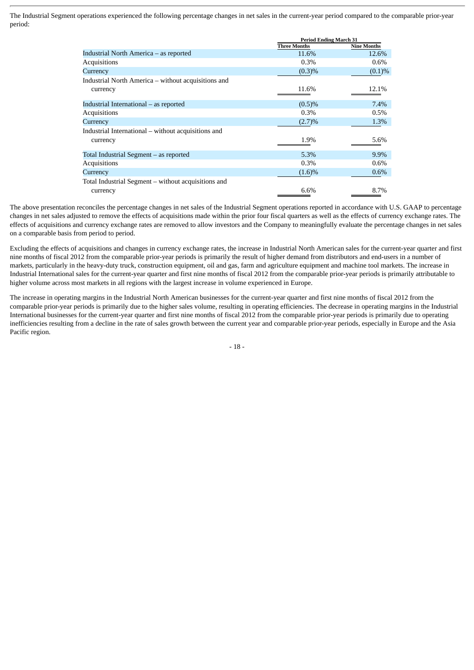The Industrial Segment operations experienced the following percentage changes in net sales in the current-year period compared to the comparable prior-year period:

|                                                     | <b>Period Ending March 31</b> |                    |  |
|-----------------------------------------------------|-------------------------------|--------------------|--|
|                                                     | <b>Three Months</b>           | <b>Nine Months</b> |  |
| Industrial North America - as reported              | 11.6%                         | 12.6%              |  |
| Acquisitions                                        | 0.3%                          | $0.6\%$            |  |
| Currency                                            | (0.3)%                        | (0.1)%             |  |
| Industrial North America – without acquisitions and |                               |                    |  |
| currency                                            | 11.6%                         | 12.1%              |  |
| Industrial International - as reported              | (0.5)%                        | 7.4%               |  |
| Acquisitions                                        | 0.3%                          | 0.5%               |  |
| Currency                                            | (2.7)%                        | 1.3%               |  |
| Industrial International – without acquisitions and |                               |                    |  |
| currency                                            | 1.9%                          | 5.6%               |  |
| Total Industrial Segment - as reported              | 5.3%                          | 9.9%               |  |
| Acquisitions                                        | 0.3%                          | $0.6\%$            |  |
| Currency                                            | (1.6)%                        | $0.6\%$            |  |
| Total Industrial Segment - without acquisitions and |                               |                    |  |
| currency                                            | 6.6%                          | 8.7%               |  |

The above presentation reconciles the percentage changes in net sales of the Industrial Segment operations reported in accordance with U.S. GAAP to percentage changes in net sales adjusted to remove the effects of acquisitions made within the prior four fiscal quarters as well as the effects of currency exchange rates. The effects of acquisitions and currency exchange rates are removed to allow investors and the Company to meaningfully evaluate the percentage changes in net sales on a comparable basis from period to period.

Excluding the effects of acquisitions and changes in currency exchange rates, the increase in Industrial North American sales for the current-year quarter and first nine months of fiscal 2012 from the comparable prior-year periods is primarily the result of higher demand from distributors and end-users in a number of markets, particularly in the heavy-duty truck, construction equipment, oil and gas, farm and agriculture equipment and machine tool markets. The increase in Industrial International sales for the current-year quarter and first nine months of fiscal 2012 from the comparable prior-year periods is primarily attributable to higher volume across most markets in all regions with the largest increase in volume experienced in Europe.

The increase in operating margins in the Industrial North American businesses for the current-year quarter and first nine months of fiscal 2012 from the comparable prior-year periods is primarily due to the higher sales volume, resulting in operating efficiencies. The decrease in operating margins in the Industrial International businesses for the current-year quarter and first nine months of fiscal 2012 from the comparable prior-year periods is primarily due to operating inefficiencies resulting from a decline in the rate of sales growth between the current year and comparable prior-year periods, especially in Europe and the Asia Pacific region.

- 18 -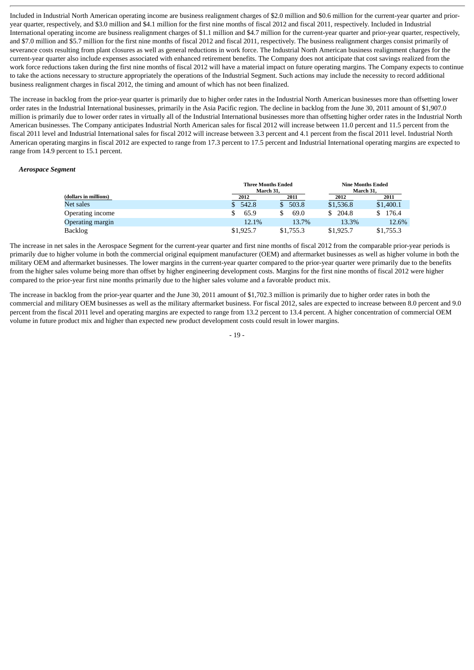Included in Industrial North American operating income are business realignment charges of \$2.0 million and \$0.6 million for the current-year quarter and prioryear quarter, respectively, and \$3.0 million and \$4.1 million for the first nine months of fiscal 2012 and fiscal 2011, respectively. Included in Industrial International operating income are business realignment charges of \$1.1 million and \$4.7 million for the current-year quarter and prior-year quarter, respectively, and \$7.0 million and \$5.7 million for the first nine months of fiscal 2012 and fiscal 2011, respectively. The business realignment charges consist primarily of severance costs resulting from plant closures as well as general reductions in work force. The Industrial North American business realignment charges for the current-year quarter also include expenses associated with enhanced retirement benefits. The Company does not anticipate that cost savings realized from the work force reductions taken during the first nine months of fiscal 2012 will have a material impact on future operating margins. The Company expects to continue to take the actions necessary to structure appropriately the operations of the Industrial Segment. Such actions may include the necessity to record additional business realignment charges in fiscal 2012, the timing and amount of which has not been finalized.

The increase in backlog from the prior-year quarter is primarily due to higher order rates in the Industrial North American businesses more than offsetting lower order rates in the Industrial International businesses, primarily in the Asia Pacific region. The decline in backlog from the June 30, 2011 amount of \$1,907.0 million is primarily due to lower order rates in virtually all of the Industrial International businesses more than offsetting higher order rates in the Industrial North American businesses. The Company anticipates Industrial North American sales for fiscal 2012 will increase between 11.0 percent and 11.5 percent from the fiscal 2011 level and Industrial International sales for fiscal 2012 will increase between 3.3 percent and 4.1 percent from the fiscal 2011 level. Industrial North American operating margins in fiscal 2012 are expected to range from 17.3 percent to 17.5 percent and Industrial International operating margins are expected to range from 14.9 percent to 15.1 percent.

#### *Aerospace Segment*

|                       |           | <b>Three Months Ended</b><br>March 31, |             | <b>Nine Months Ended</b><br>March 31. |
|-----------------------|-----------|----------------------------------------|-------------|---------------------------------------|
| (dollars in millions) | 2012      | 2011                                   | 2012        | 2011                                  |
| Net sales             | 542.8     | 503.8                                  | \$1,536.8   | \$1,400.1                             |
| Operating income      | 65.9      | 69.0                                   | 204.8<br>S. | \$176.4                               |
| Operating margin      | 12.1%     | 13.7%                                  | 13.3%       | 12.6%                                 |
| <b>Backlog</b>        | \$1,925.7 | \$1,755.3                              | \$1,925.7   | \$1,755.3                             |

The increase in net sales in the Aerospace Segment for the current-year quarter and first nine months of fiscal 2012 from the comparable prior-year periods is primarily due to higher volume in both the commercial original equipment manufacturer (OEM) and aftermarket businesses as well as higher volume in both the military OEM and aftermarket businesses. The lower margins in the current-year quarter compared to the prior-year quarter were primarily due to the benefits from the higher sales volume being more than offset by higher engineering development costs. Margins for the first nine months of fiscal 2012 were higher compared to the prior-year first nine months primarily due to the higher sales volume and a favorable product mix.

The increase in backlog from the prior-year quarter and the June 30, 2011 amount of \$1,702.3 million is primarily due to higher order rates in both the commercial and military OEM businesses as well as the military aftermarket business. For fiscal 2012, sales are expected to increase between 8.0 percent and 9.0 percent from the fiscal 2011 level and operating margins are expected to range from 13.2 percent to 13.4 percent. A higher concentration of commercial OEM volume in future product mix and higher than expected new product development costs could result in lower margins.

- 19 -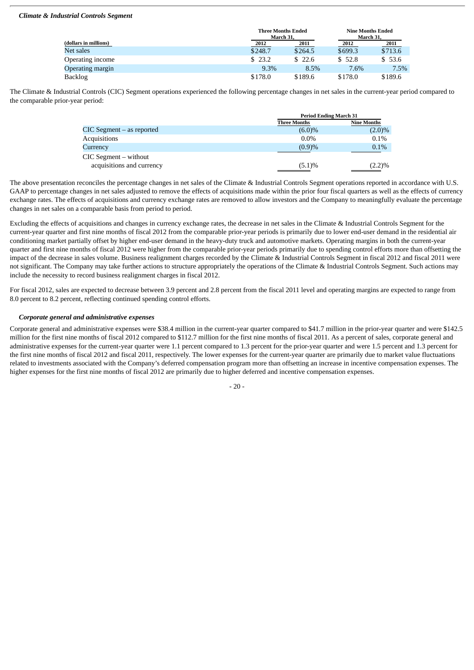#### *Climate & Industrial Controls Segment*

|                       | <b>Three Months Ended</b><br>March 31. |         | <b>Nine Months Ended</b><br>March 31. |         |
|-----------------------|----------------------------------------|---------|---------------------------------------|---------|
| (dollars in millions) | 2012                                   | 2011    | 2012                                  | 2011    |
| Net sales             | \$248.7                                | \$264.5 | \$699.3                               | \$713.6 |
| Operating income      | \$23.2                                 | \$22.6  | \$52.8                                | \$53.6  |
| Operating margin      | 9.3%                                   | 8.5%    | 7.6%                                  | $7.5\%$ |
| <b>Backlog</b>        | \$178.0                                | \$189.6 | \$178.0                               | \$189.6 |

The Climate & Industrial Controls (CIC) Segment operations experienced the following percentage changes in net sales in the current-year period compared to the comparable prior-year period:

|                               |                     | <b>Period Ending March 31</b> |  |  |
|-------------------------------|---------------------|-------------------------------|--|--|
|                               | <b>Three Months</b> | <b>Nine Months</b>            |  |  |
| $CIC$ Segment $-$ as reported | $(6.0)\%$           | $(2.0)\%$                     |  |  |
| Acquisitions                  | $0.0\%$             | 0.1%                          |  |  |
| Currency                      | (0.9)%              | 0.1%                          |  |  |
| CIC Segment – without         |                     |                               |  |  |
| acquisitions and currency     | (5.1)%              | $(2.2)\%$                     |  |  |

The above presentation reconciles the percentage changes in net sales of the Climate & Industrial Controls Segment operations reported in accordance with U.S. GAAP to percentage changes in net sales adjusted to remove the effects of acquisitions made within the prior four fiscal quarters as well as the effects of currency exchange rates. The effects of acquisitions and currency exchange rates are removed to allow investors and the Company to meaningfully evaluate the percentage changes in net sales on a comparable basis from period to period.

Excluding the effects of acquisitions and changes in currency exchange rates, the decrease in net sales in the Climate & Industrial Controls Segment for the current-year quarter and first nine months of fiscal 2012 from the comparable prior-year periods is primarily due to lower end-user demand in the residential air conditioning market partially offset by higher end-user demand in the heavy-duty truck and automotive markets. Operating margins in both the current-year quarter and first nine months of fiscal 2012 were higher from the comparable prior-year periods primarily due to spending control efforts more than offsetting the impact of the decrease in sales volume. Business realignment charges recorded by the Climate & Industrial Controls Segment in fiscal 2012 and fiscal 2011 were not significant. The Company may take further actions to structure appropriately the operations of the Climate & Industrial Controls Segment. Such actions may include the necessity to record business realignment charges in fiscal 2012.

For fiscal 2012, sales are expected to decrease between 3.9 percent and 2.8 percent from the fiscal 2011 level and operating margins are expected to range from 8.0 percent to 8.2 percent, reflecting continued spending control efforts.

#### *Corporate general and administrative expenses*

Corporate general and administrative expenses were \$38.4 million in the current-year quarter compared to \$41.7 million in the prior-year quarter and were \$142.5 million for the first nine months of fiscal 2012 compared to \$112.7 million for the first nine months of fiscal 2011. As a percent of sales, corporate general and administrative expenses for the current-year quarter were 1.1 percent compared to 1.3 percent for the prior-year quarter and were 1.5 percent and 1.3 percent for the first nine months of fiscal 2012 and fiscal 2011, respectively. The lower expenses for the current-year quarter are primarily due to market value fluctuations related to investments associated with the Company's deferred compensation program more than offsetting an increase in incentive compensation expenses. The higher expenses for the first nine months of fiscal 2012 are primarily due to higher deferred and incentive compensation expenses.

 $-20-$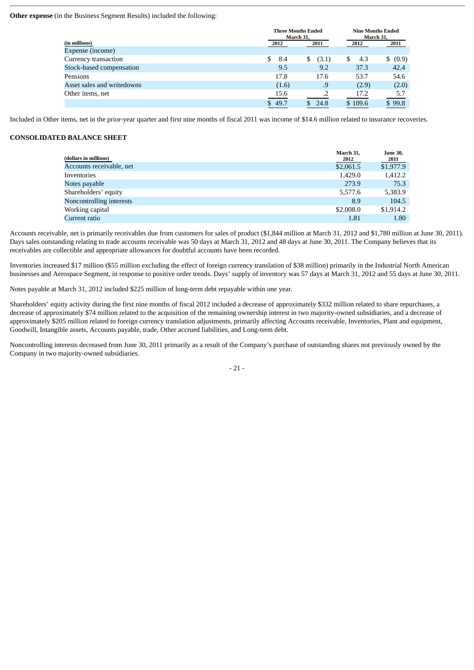#### **Other expense** (in the Business Segment Results) included the following:

|                            | <b>Three Months Ended</b><br>March 31, |       | <b>Nine Months Ended</b><br>March 31, |          |  |
|----------------------------|----------------------------------------|-------|---------------------------------------|----------|--|
| (in millions)              | 2012<br>2011                           |       | 2012                                  | 2011     |  |
| Expense (income)           |                                        |       |                                       |          |  |
| Currency transaction       | \$<br>8.4<br>\$                        | (3.1) | S<br>4.3                              | \$ (0.9) |  |
| Stock-based compensation   | 9.5                                    | 9.2   | 37.3                                  | 42.4     |  |
| Pensions                   | 17.8                                   | 17.6  | 53.7                                  | 54.6     |  |
| Asset sales and writedowns | (1.6)                                  | .9    | (2.9)                                 | (2.0)    |  |
| Other items, net           | 15.6                                   |       | 17.2                                  | 5.7      |  |
|                            | \$49.7                                 | 24.8  | \$109.6                               | \$99.8   |  |

Included in Other items, net in the prior-year quarter and first nine months of fiscal 2011 was income of \$14.6 million related to insurance recoveries.

#### **CONSOLIDATED BALANCE SHEET**

| (dollars in millions)    | March 31.<br>2012 | <b>June 30,</b><br>2011 |
|--------------------------|-------------------|-------------------------|
| Accounts receivable, net | \$2,061.5         | \$1,977.9               |
| Inventories              | 1.429.0           | 1,412.2                 |
| Notes payable            | 273.9             | 75.3                    |
| Shareholders' equity     | 5,577.6           | 5,383.9                 |
| Noncontrolling interests | 8.9               | 104.5                   |
| Working capital          | \$2,008.0         | \$1,914.2               |
| Current ratio            | 1.81              | 1.80                    |

Accounts receivable, net is primarily receivables due from customers for sales of product (\$1,844 million at March 31, 2012 and \$1,780 million at June 30, 2011). Days sales outstanding relating to trade accounts receivable was 50 days at March 31, 2012 and 48 days at June 30, 2011. The Company believes that its receivables are collectible and appropriate allowances for doubtful accounts have been recorded.

Inventories increased \$17 million (\$55 million excluding the effect of foreign currency translation of \$38 million) primarily in the Industrial North American businesses and Aerospace Segment, in response to positive order trends. Days' supply of inventory was 57 days at March 31, 2012 and 55 days at June 30, 2011.

Notes payable at March 31, 2012 included \$225 million of long-term debt repayable within one year.

Shareholders' equity activity during the first nine months of fiscal 2012 included a decrease of approximately \$332 million related to share repurchases, a decrease of approximately \$74 million related to the acquisition of the remaining ownership interest in two majority-owned subsidiaries, and a decrease of approximately \$205 million related to foreign currency translation adjustments, primarily affecting Accounts receivable, Inventories, Plant and equipment, Goodwill, Intangible assets, Accounts payable, trade, Other accrued liabilities, and Long-term debt.

Noncontrolling interests decreased from June 30, 2011 primarily as a result of the Company's purchase of outstanding shares not previously owned by the Company in two majority-owned subsidiaries.

- 21 -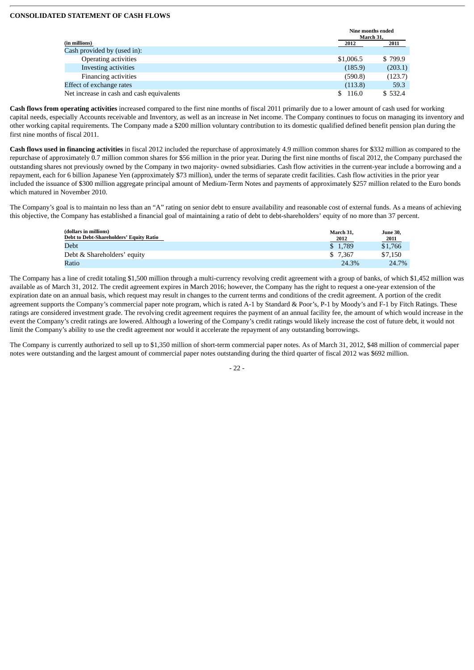#### **CONSOLIDATED STATEMENT OF CASH FLOWS**

|                                           |           | Nine months ended<br>March 31. |  |
|-------------------------------------------|-----------|--------------------------------|--|
| (in millions)                             | 2012      | 2011                           |  |
| Cash provided by (used in):               |           |                                |  |
| <b>Operating activities</b>               | \$1,006.5 | \$799.9                        |  |
| Investing activities                      | (185.9)   | (203.1)                        |  |
| <b>Financing activities</b>               | (590.8)   | (123.7)                        |  |
| Effect of exchange rates                  | (113.8)   | 59.3                           |  |
| Net increase in cash and cash equivalents | \$116.0   | \$532.4                        |  |

**Cash flows from operating activities** increased compared to the first nine months of fiscal 2011 primarily due to a lower amount of cash used for working capital needs, especially Accounts receivable and Inventory, as well as an increase in Net income. The Company continues to focus on managing its inventory and other working capital requirements. The Company made a \$200 million voluntary contribution to its domestic qualified defined benefit pension plan during the first nine months of fiscal 2011.

**Cash flows used in financing activities** in fiscal 2012 included the repurchase of approximately 4.9 million common shares for \$332 million as compared to the repurchase of approximately 0.7 million common shares for \$56 million in the prior year. During the first nine months of fiscal 2012, the Company purchased the outstanding shares not previously owned by the Company in two majority- owned subsidiaries. Cash flow activities in the current-year include a borrowing and a repayment, each for 6 billion Japanese Yen (approximately \$73 million), under the terms of separate credit facilities. Cash flow activities in the prior year included the issuance of \$300 million aggregate principal amount of Medium-Term Notes and payments of approximately \$257 million related to the Euro bonds which matured in November 2010.

The Company's goal is to maintain no less than an "A" rating on senior debt to ensure availability and reasonable cost of external funds. As a means of achieving this objective, the Company has established a financial goal of maintaining a ratio of debt to debt-shareholders' equity of no more than 37 percent.

| (dollars in millions)                   | March 31. | June 30.    |
|-----------------------------------------|-----------|-------------|
| Debt to Debt-Shareholders' Equity Ratio | 2012      | <b>2011</b> |
| Debt                                    | \$1,789   | \$1,766     |
| Debt & Shareholders' equity             | \$ 7.367  | \$7,150     |
| Ratio                                   | 24.3%     | 24.7%       |

The Company has a line of credit totaling \$1,500 million through a multi-currency revolving credit agreement with a group of banks, of which \$1,452 million was available as of March 31, 2012. The credit agreement expires in March 2016; however, the Company has the right to request a one-year extension of the expiration date on an annual basis, which request may result in changes to the current terms and conditions of the credit agreement. A portion of the credit agreement supports the Company's commercial paper note program, which is rated A-1 by Standard & Poor's, P-1 by Moody's and F-1 by Fitch Ratings. These ratings are considered investment grade. The revolving credit agreement requires the payment of an annual facility fee, the amount of which would increase in the event the Company's credit ratings are lowered. Although a lowering of the Company's credit ratings would likely increase the cost of future debt, it would not limit the Company's ability to use the credit agreement nor would it accelerate the repayment of any outstanding borrowings.

The Company is currently authorized to sell up to \$1,350 million of short-term commercial paper notes. As of March 31, 2012, \$48 million of commercial paper notes were outstanding and the largest amount of commercial paper notes outstanding during the third quarter of fiscal 2012 was \$692 million.

- 22 -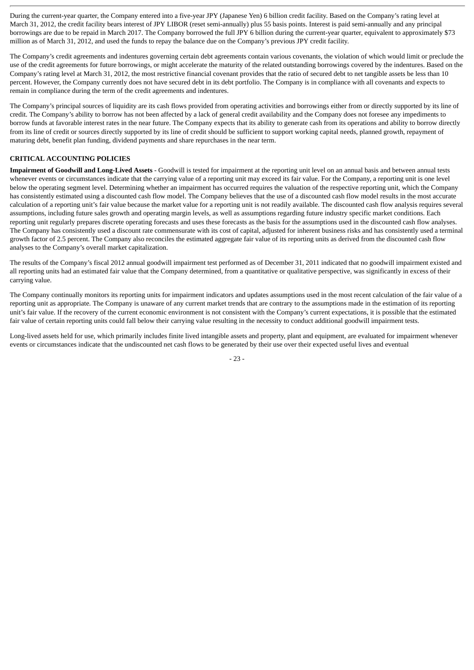During the current-year quarter, the Company entered into a five-year JPY (Japanese Yen) 6 billion credit facility. Based on the Company's rating level at March 31, 2012, the credit facility bears interest of JPY LIBOR (reset semi-annually) plus 55 basis points. Interest is paid semi-annually and any principal borrowings are due to be repaid in March 2017. The Company borrowed the full JPY 6 billion during the current-year quarter, equivalent to approximately \$73 million as of March 31, 2012, and used the funds to repay the balance due on the Company's previous JPY credit facility.

The Company's credit agreements and indentures governing certain debt agreements contain various covenants, the violation of which would limit or preclude the use of the credit agreements for future borrowings, or might accelerate the maturity of the related outstanding borrowings covered by the indentures. Based on the Company's rating level at March 31, 2012, the most restrictive financial covenant provides that the ratio of secured debt to net tangible assets be less than 10 percent. However, the Company currently does not have secured debt in its debt portfolio. The Company is in compliance with all covenants and expects to remain in compliance during the term of the credit agreements and indentures.

The Company's principal sources of liquidity are its cash flows provided from operating activities and borrowings either from or directly supported by its line of credit. The Company's ability to borrow has not been affected by a lack of general credit availability and the Company does not foresee any impediments to borrow funds at favorable interest rates in the near future. The Company expects that its ability to generate cash from its operations and ability to borrow directly from its line of credit or sources directly supported by its line of credit should be sufficient to support working capital needs, planned growth, repayment of maturing debt, benefit plan funding, dividend payments and share repurchases in the near term.

#### **CRITICAL ACCOUNTING POLICIES**

**Impairment of Goodwill and Long-Lived Assets** - Goodwill is tested for impairment at the reporting unit level on an annual basis and between annual tests whenever events or circumstances indicate that the carrying value of a reporting unit may exceed its fair value. For the Company, a reporting unit is one level below the operating segment level. Determining whether an impairment has occurred requires the valuation of the respective reporting unit, which the Company has consistently estimated using a discounted cash flow model. The Company believes that the use of a discounted cash flow model results in the most accurate calculation of a reporting unit's fair value because the market value for a reporting unit is not readily available. The discounted cash flow analysis requires several assumptions, including future sales growth and operating margin levels, as well as assumptions regarding future industry specific market conditions. Each reporting unit regularly prepares discrete operating forecasts and uses these forecasts as the basis for the assumptions used in the discounted cash flow analyses. The Company has consistently used a discount rate commensurate with its cost of capital, adjusted for inherent business risks and has consistently used a terminal growth factor of 2.5 percent. The Company also reconciles the estimated aggregate fair value of its reporting units as derived from the discounted cash flow analyses to the Company's overall market capitalization.

The results of the Company's fiscal 2012 annual goodwill impairment test performed as of December 31, 2011 indicated that no goodwill impairment existed and all reporting units had an estimated fair value that the Company determined, from a quantitative or qualitative perspective, was significantly in excess of their carrying value.

The Company continually monitors its reporting units for impairment indicators and updates assumptions used in the most recent calculation of the fair value of a reporting unit as appropriate. The Company is unaware of any current market trends that are contrary to the assumptions made in the estimation of its reporting unit's fair value. If the recovery of the current economic environment is not consistent with the Company's current expectations, it is possible that the estimated fair value of certain reporting units could fall below their carrying value resulting in the necessity to conduct additional goodwill impairment tests.

Long-lived assets held for use, which primarily includes finite lived intangible assets and property, plant and equipment, are evaluated for impairment whenever events or circumstances indicate that the undiscounted net cash flows to be generated by their use over their expected useful lives and eventual

- 23 -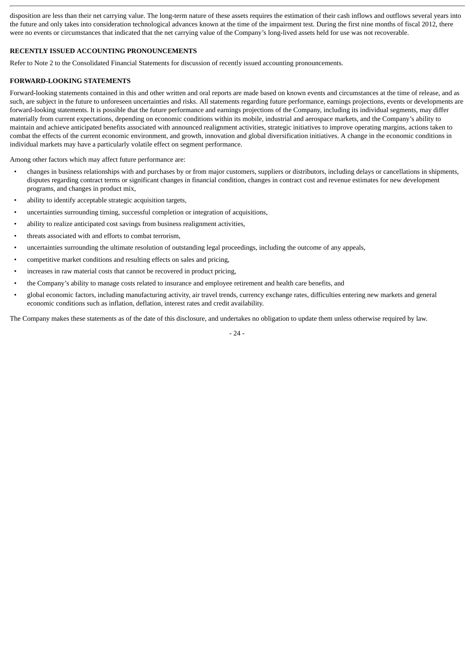disposition are less than their net carrying value. The long-term nature of these assets requires the estimation of their cash inflows and outflows several years into the future and only takes into consideration technological advances known at the time of the impairment test. During the first nine months of fiscal 2012, there were no events or circumstances that indicated that the net carrying value of the Company's long-lived assets held for use was not recoverable.

#### **RECENTLY ISSUED ACCOUNTING PRONOUNCEMENTS**

Refer to Note 2 to the Consolidated Financial Statements for discussion of recently issued accounting pronouncements.

#### **FORWARD-LOOKING STATEMENTS**

Forward-looking statements contained in this and other written and oral reports are made based on known events and circumstances at the time of release, and as such, are subject in the future to unforeseen uncertainties and risks. All statements regarding future performance, earnings projections, events or developments are forward-looking statements. It is possible that the future performance and earnings projections of the Company, including its individual segments, may differ materially from current expectations, depending on economic conditions within its mobile, industrial and aerospace markets, and the Company's ability to maintain and achieve anticipated benefits associated with announced realignment activities, strategic initiatives to improve operating margins, actions taken to combat the effects of the current economic environment, and growth, innovation and global diversification initiatives. A change in the economic conditions in individual markets may have a particularly volatile effect on segment performance.

Among other factors which may affect future performance are:

- changes in business relationships with and purchases by or from major customers, suppliers or distributors, including delays or cancellations in shipments, disputes regarding contract terms or significant changes in financial condition, changes in contract cost and revenue estimates for new development programs, and changes in product mix,
- ability to identify acceptable strategic acquisition targets,
- uncertainties surrounding timing, successful completion or integration of acquisitions,
- ability to realize anticipated cost savings from business realignment activities,
- threats associated with and efforts to combat terrorism,
- uncertainties surrounding the ultimate resolution of outstanding legal proceedings, including the outcome of any appeals,
- competitive market conditions and resulting effects on sales and pricing,
- increases in raw material costs that cannot be recovered in product pricing,
- the Company's ability to manage costs related to insurance and employee retirement and health care benefits, and
- global economic factors, including manufacturing activity, air travel trends, currency exchange rates, difficulties entering new markets and general economic conditions such as inflation, deflation, interest rates and credit availability.

The Company makes these statements as of the date of this disclosure, and undertakes no obligation to update them unless otherwise required by law.

 $-24$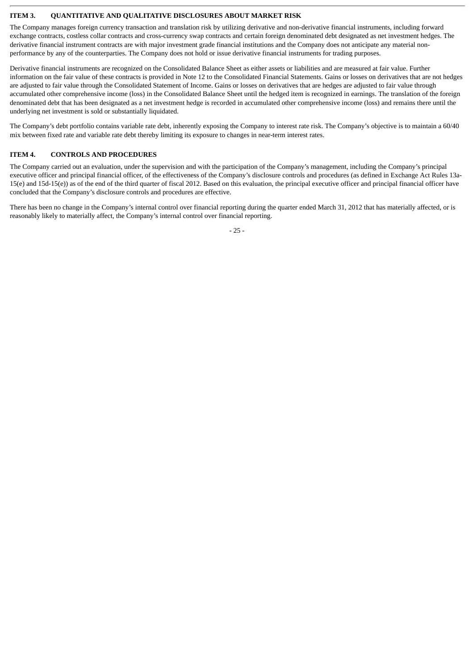#### **ITEM 3. QUANTITATIVE AND QUALITATIVE DISCLOSURES ABOUT MARKET RISK**

The Company manages foreign currency transaction and translation risk by utilizing derivative and non-derivative financial instruments, including forward exchange contracts, costless collar contracts and cross-currency swap contracts and certain foreign denominated debt designated as net investment hedges. The derivative financial instrument contracts are with major investment grade financial institutions and the Company does not anticipate any material nonperformance by any of the counterparties. The Company does not hold or issue derivative financial instruments for trading purposes.

Derivative financial instruments are recognized on the Consolidated Balance Sheet as either assets or liabilities and are measured at fair value. Further information on the fair value of these contracts is provided in Note 12 to the Consolidated Financial Statements. Gains or losses on derivatives that are not hedges are adjusted to fair value through the Consolidated Statement of Income. Gains or losses on derivatives that are hedges are adjusted to fair value through accumulated other comprehensive income (loss) in the Consolidated Balance Sheet until the hedged item is recognized in earnings. The translation of the foreign denominated debt that has been designated as a net investment hedge is recorded in accumulated other comprehensive income (loss) and remains there until the underlying net investment is sold or substantially liquidated.

The Company's debt portfolio contains variable rate debt, inherently exposing the Company to interest rate risk. The Company's objective is to maintain a 60/40 mix between fixed rate and variable rate debt thereby limiting its exposure to changes in near-term interest rates.

#### **ITEM 4. CONTROLS AND PROCEDURES**

The Company carried out an evaluation, under the supervision and with the participation of the Company's management, including the Company's principal executive officer and principal financial officer, of the effectiveness of the Company's disclosure controls and procedures (as defined in Exchange Act Rules 13a-15(e) and 15d-15(e)) as of the end of the third quarter of fiscal 2012. Based on this evaluation, the principal executive officer and principal financial officer have concluded that the Company's disclosure controls and procedures are effective.

There has been no change in the Company's internal control over financial reporting during the quarter ended March 31, 2012 that has materially affected, or is reasonably likely to materially affect, the Company's internal control over financial reporting.

- 25 -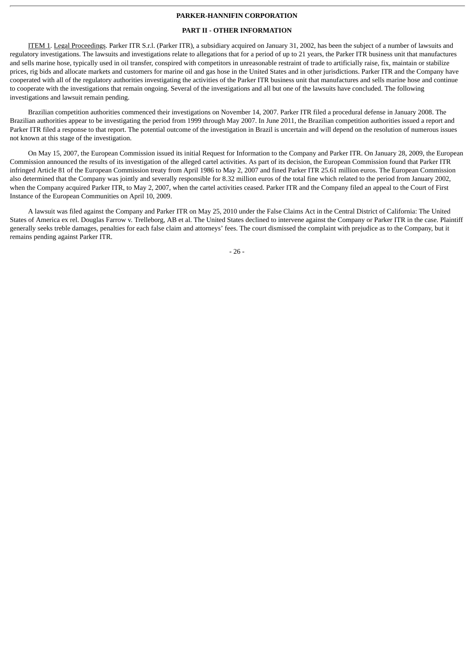#### **PART II - OTHER INFORMATION**

ITEM 1. Legal Proceedings. Parker ITR S.r.l. (Parker ITR), a subsidiary acquired on January 31, 2002, has been the subject of a number of lawsuits and regulatory investigations. The lawsuits and investigations relate to allegations that for a period of up to 21 years, the Parker ITR business unit that manufactures and sells marine hose, typically used in oil transfer, conspired with competitors in unreasonable restraint of trade to artificially raise, fix, maintain or stabilize prices, rig bids and allocate markets and customers for marine oil and gas hose in the United States and in other jurisdictions. Parker ITR and the Company have cooperated with all of the regulatory authorities investigating the activities of the Parker ITR business unit that manufactures and sells marine hose and continue to cooperate with the investigations that remain ongoing. Several of the investigations and all but one of the lawsuits have concluded. The following investigations and lawsuit remain pending.

Brazilian competition authorities commenced their investigations on November 14, 2007. Parker ITR filed a procedural defense in January 2008. The Brazilian authorities appear to be investigating the period from 1999 through May 2007. In June 2011, the Brazilian competition authorities issued a report and Parker ITR filed a response to that report. The potential outcome of the investigation in Brazil is uncertain and will depend on the resolution of numerous issues not known at this stage of the investigation.

On May 15, 2007, the European Commission issued its initial Request for Information to the Company and Parker ITR. On January 28, 2009, the European Commission announced the results of its investigation of the alleged cartel activities. As part of its decision, the European Commission found that Parker ITR infringed Article 81 of the European Commission treaty from April 1986 to May 2, 2007 and fined Parker ITR 25.61 million euros. The European Commission also determined that the Company was jointly and severally responsible for 8.32 million euros of the total fine which related to the period from January 2002, when the Company acquired Parker ITR, to May 2, 2007, when the cartel activities ceased. Parker ITR and the Company filed an appeal to the Court of First Instance of the European Communities on April 10, 2009.

A lawsuit was filed against the Company and Parker ITR on May 25, 2010 under the False Claims Act in the Central District of California: The United States of America ex rel. Douglas Farrow v. Trelleborg, AB et al. The United States declined to intervene against the Company or Parker ITR in the case. Plaintiff generally seeks treble damages, penalties for each false claim and attorneys' fees. The court dismissed the complaint with prejudice as to the Company, but it remains pending against Parker ITR.

- 26 -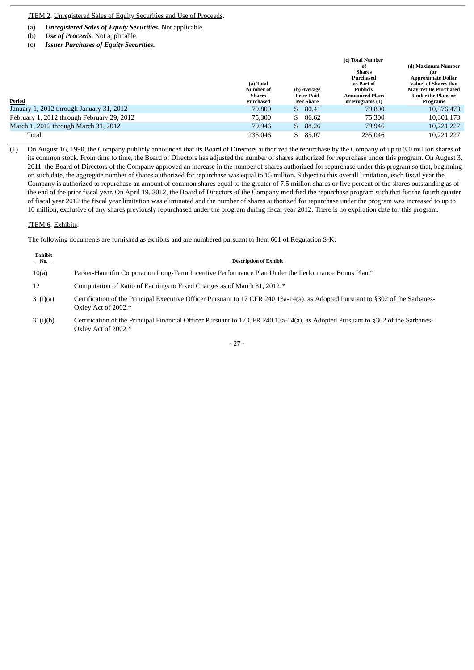#### ITEM 2. Unregistered Sales of Equity Securities and Use of Proceeds.

- (a) *Unregistered Sales of Equity Securities.* Not applicable.
- (b) *Use of Proceeds.* Not applicable.
- (c) *Issuer Purchases of Equity Securities.*

| Period                                     | (a) Total<br>Number of<br><b>Shares</b> | (b) Average<br><b>Price Paid</b> | (c) Total Number<br>of<br><b>Shares</b><br>Purchased<br>as Part of<br><b>Publicly</b><br><b>Announced Plans</b> | (d) Maximum Number<br>(or<br><b>Approximate Dollar</b><br>Value) of Shares that<br><b>May Yet Be Purchased</b><br>Under the Plans or |
|--------------------------------------------|-----------------------------------------|----------------------------------|-----------------------------------------------------------------------------------------------------------------|--------------------------------------------------------------------------------------------------------------------------------------|
|                                            | Purchased                               | Per Share                        | or Programs (1)                                                                                                 | Programs                                                                                                                             |
| January 1, 2012 through January 31, 2012   | 79,800                                  | 80.41<br>S.                      | 79,800                                                                                                          | 10,376,473                                                                                                                           |
| February 1, 2012 through February 29, 2012 | 75.300                                  | 86.62<br>\$                      | 75,300                                                                                                          | 10,301,173                                                                                                                           |
| March 1, 2012 through March 31, 2012       | 79,946                                  | 88.26<br>S.                      | 79.946                                                                                                          | 10,221,227                                                                                                                           |
| Total:                                     | 235,046                                 | 85.07<br>\$.                     | 235,046                                                                                                         | 10,221,227                                                                                                                           |

(1) On August 16, 1990, the Company publicly announced that its Board of Directors authorized the repurchase by the Company of up to 3.0 million shares of its common stock. From time to time, the Board of Directors has adjusted the number of shares authorized for repurchase under this program. On August 3, 2011, the Board of Directors of the Company approved an increase in the number of shares authorized for repurchase under this program so that, beginning on such date, the aggregate number of shares authorized for repurchase was equal to 15 million. Subject to this overall limitation, each fiscal year the Company is authorized to repurchase an amount of common shares equal to the greater of 7.5 million shares or five percent of the shares outstanding as of the end of the prior fiscal year. On April 19, 2012, the Board of Directors of the Company modified the repurchase program such that for the fourth quarter of fiscal year 2012 the fiscal year limitation was eliminated and the number of shares authorized for repurchase under the program was increased to up to 16 million, exclusive of any shares previously repurchased under the program during fiscal year 2012. There is no expiration date for this program.

#### ITEM 6. Exhibits.

The following documents are furnished as exhibits and are numbered pursuant to Item 601 of Regulation S-K:

| Exhibit<br>No. | <b>Description of Exhibit</b>                                                                                                                          |
|----------------|--------------------------------------------------------------------------------------------------------------------------------------------------------|
| 10(a)          | Parker-Hannifin Corporation Long-Term Incentive Performance Plan Under the Performance Bonus Plan.*                                                    |
| 12             | Computation of Ratio of Earnings to Fixed Charges as of March 31, 2012.*                                                                               |
| 31(i)(a)       | Certification of the Principal Executive Officer Pursuant to 17 CFR 240.13a-14(a), as Adopted Pursuant to §302 of the Sarbanes-<br>Oxley Act of 2002.* |
| 31(i)(b)       | Certification of the Principal Financial Officer Pursuant to 17 CFR 240.13a-14(a), as Adopted Pursuant to §302 of the Sarbanes-<br>Oxley Act of 2002.* |

- 27 -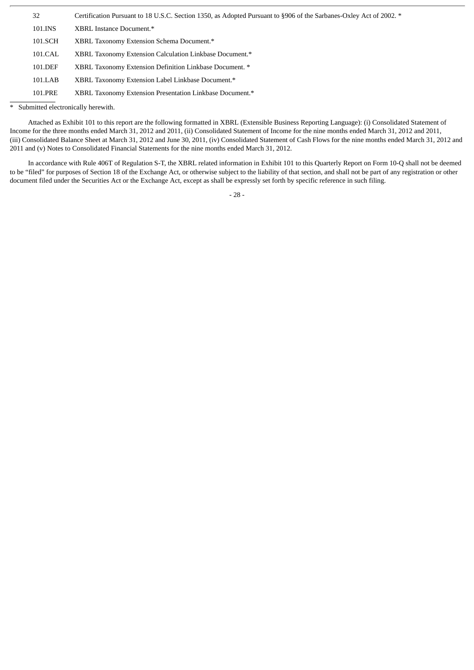| 32      | Certification Pursuant to 18 U.S.C. Section 1350, as Adopted Pursuant to §906 of the Sarbanes-Oxley Act of 2002. * |
|---------|--------------------------------------------------------------------------------------------------------------------|
| 101.INS | XBRL Instance Document.*                                                                                           |
| 101.SCH | XBRL Taxonomy Extension Schema Document.*                                                                          |
| 101.CAL | XBRL Taxonomy Extension Calculation Linkbase Document.*                                                            |
| 101.DEF | XBRL Taxonomy Extension Definition Linkbase Document. *                                                            |
| 101.LAB | XBRL Taxonomy Extension Label Linkbase Document.*                                                                  |
| 101.PRE | XBRL Taxonomy Extension Presentation Linkbase Document.*                                                           |

\* Submitted electronically herewith.

Attached as Exhibit 101 to this report are the following formatted in XBRL (Extensible Business Reporting Language): (i) Consolidated Statement of Income for the three months ended March 31, 2012 and 2011, (ii) Consolidated Statement of Income for the nine months ended March 31, 2012 and 2011, (iii) Consolidated Balance Sheet at March 31, 2012 and June 30, 2011, (iv) Consolidated Statement of Cash Flows for the nine months ended March 31, 2012 and 2011 and (v) Notes to Consolidated Financial Statements for the nine months ended March 31, 2012.

In accordance with Rule 406T of Regulation S-T, the XBRL related information in Exhibit 101 to this Quarterly Report on Form 10-Q shall not be deemed to be "filed" for purposes of Section 18 of the Exchange Act, or otherwise subject to the liability of that section, and shall not be part of any registration or other document filed under the Securities Act or the Exchange Act, except as shall be expressly set forth by specific reference in such filing.

- 28 -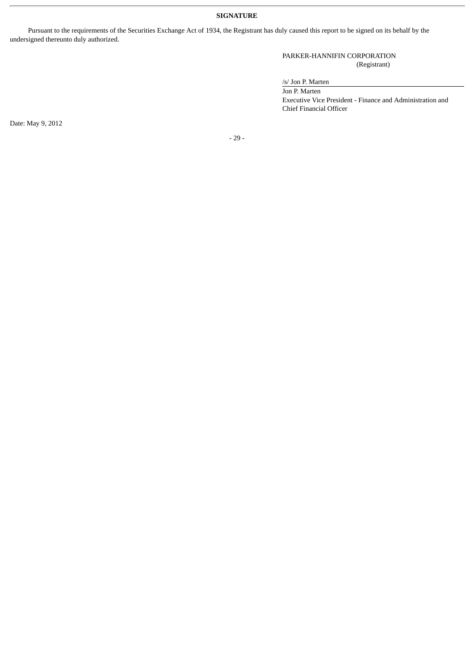**SIGNATURE**

Pursuant to the requirements of the Securities Exchange Act of 1934, the Registrant has duly caused this report to be signed on its behalf by the undersigned thereunto duly authorized.

#### PARKER-HANNIFIN CORPORATION (Registrant)

/s/ Jon P. Marten

Jon P. Marten Executive Vice President - Finance and Administration and Chief Financial Officer

Date: May 9, 2012

- 29 -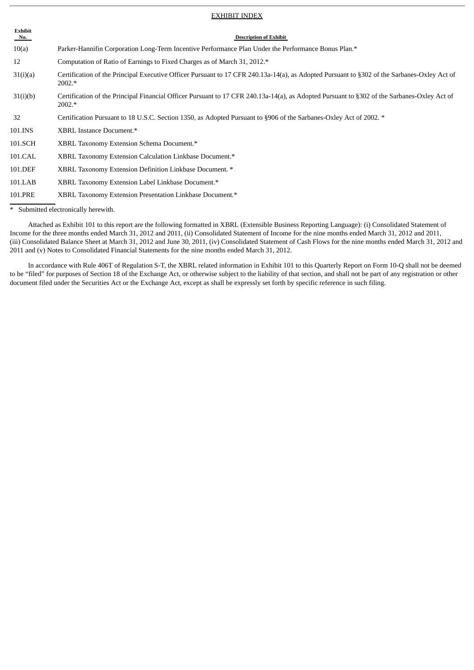#### EXHIBIT INDEX

| Exhibit<br>No. | <b>Description of Exhibit</b>                                                                                                                           |
|----------------|---------------------------------------------------------------------------------------------------------------------------------------------------------|
| 10(a)          | Parker-Hannifin Corporation Long-Term Incentive Performance Plan Under the Performance Bonus Plan.*                                                     |
| 12             | Computation of Ratio of Earnings to Fixed Charges as of March 31, 2012.*                                                                                |
| 31(i)(a)       | Certification of the Principal Executive Officer Pursuant to 17 CFR 240.13a-14(a), as Adopted Pursuant to §302 of the Sarbanes-Oxley Act of<br>$2002.*$ |
| 31(i)(b)       | Certification of the Principal Financial Officer Pursuant to 17 CFR 240.13a-14(a), as Adopted Pursuant to §302 of the Sarbanes-Oxley Act of<br>2002.*   |
| 32             | Certification Pursuant to 18 U.S.C. Section 1350, as Adopted Pursuant to §906 of the Sarbanes-Oxley Act of 2002. *                                      |
| 101.INS        | XBRL Instance Document.*                                                                                                                                |
| 101.SCH        | XBRL Taxonomy Extension Schema Document.*                                                                                                               |
| 101.CAL        | XBRL Taxonomy Extension Calculation Linkbase Document.*                                                                                                 |
| 101.DEF        | XBRL Taxonomy Extension Definition Linkbase Document. *                                                                                                 |
| 101.LAB        | XBRL Taxonomy Extension Label Linkbase Document.*                                                                                                       |
| 101.PRE        | XBRL Taxonomy Extension Presentation Linkbase Document.*                                                                                                |

\* Submitted electronically herewith.

Attached as Exhibit 101 to this report are the following formatted in XBRL (Extensible Business Reporting Language): (i) Consolidated Statement of Income for the three months ended March 31, 2012 and 2011, (ii) Consolidated Statement of Income for the nine months ended March 31, 2012 and 2011, (iii) Consolidated Balance Sheet at March 31, 2012 and June 30, 2011, (iv) Consolidated Statement of Cash Flows for the nine months ended March 31, 2012 and 2011 and (v) Notes to Consolidated Financial Statements for the nine months ended March 31, 2012.

In accordance with Rule 406T of Regulation S-T, the XBRL related information in Exhibit 101 to this Quarterly Report on Form 10-Q shall not be deemed to be "filed" for purposes of Section 18 of the Exchange Act, or otherwise subject to the liability of that section, and shall not be part of any registration or other document filed under the Securities Act or the Exchange Act, except as shall be expressly set forth by specific reference in such filing.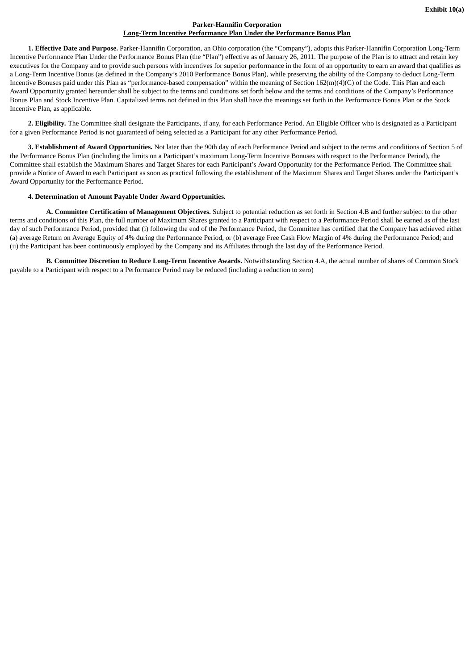#### **Parker-Hannifin Corporation Long-Term Incentive Performance Plan Under the Performance Bonus Plan**

**1. Effective Date and Purpose.** Parker-Hannifin Corporation, an Ohio corporation (the "Company"), adopts this Parker-Hannifin Corporation Long-Term Incentive Performance Plan Under the Performance Bonus Plan (the "Plan") effective as of January 26, 2011. The purpose of the Plan is to attract and retain key executives for the Company and to provide such persons with incentives for superior performance in the form of an opportunity to earn an award that qualifies as a Long-Term Incentive Bonus (as defined in the Company's 2010 Performance Bonus Plan), while preserving the ability of the Company to deduct Long-Term Incentive Bonuses paid under this Plan as "performance-based compensation" within the meaning of Section 162(m)(4)(C) of the Code. This Plan and each Award Opportunity granted hereunder shall be subject to the terms and conditions set forth below and the terms and conditions of the Company's Performance Bonus Plan and Stock Incentive Plan. Capitalized terms not defined in this Plan shall have the meanings set forth in the Performance Bonus Plan or the Stock Incentive Plan, as applicable.

**2. Eligibility***.* The Committee shall designate the Participants, if any, for each Performance Period. An Eligible Officer who is designated as a Participant for a given Performance Period is not guaranteed of being selected as a Participant for any other Performance Period.

**3. Establishment of Award Opportunities.** Not later than the 90th day of each Performance Period and subject to the terms and conditions of Section 5 of the Performance Bonus Plan (including the limits on a Participant's maximum Long-Term Incentive Bonuses with respect to the Performance Period), the Committee shall establish the Maximum Shares and Target Shares for each Participant's Award Opportunity for the Performance Period. The Committee shall provide a Notice of Award to each Participant as soon as practical following the establishment of the Maximum Shares and Target Shares under the Participant's Award Opportunity for the Performance Period.

#### **4. Determination of Amount Payable Under Award Opportunities.**

**A. Committee Certification of Management Objectives.** Subject to potential reduction as set forth in Section 4.B and further subject to the other terms and conditions of this Plan, the full number of Maximum Shares granted to a Participant with respect to a Performance Period shall be earned as of the last day of such Performance Period, provided that (i) following the end of the Performance Period, the Committee has certified that the Company has achieved either (a) average Return on Average Equity of 4% during the Performance Period, or (b) average Free Cash Flow Margin of 4% during the Performance Period; and (ii) the Participant has been continuously employed by the Company and its Affiliates through the last day of the Performance Period.

**B. Committee Discretion to Reduce Long-Term Incentive Awards.** Notwithstanding Section 4.A, the actual number of shares of Common Stock payable to a Participant with respect to a Performance Period may be reduced (including a reduction to zero)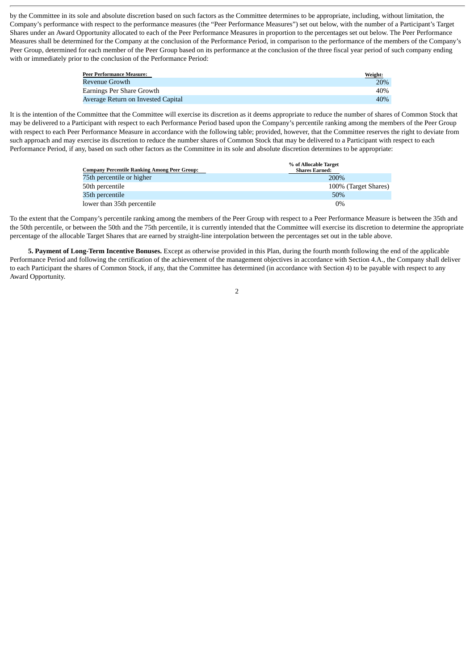by the Committee in its sole and absolute discretion based on such factors as the Committee determines to be appropriate, including, without limitation, the Company's performance with respect to the performance measures (the "Peer Performance Measures") set out below, with the number of a Participant's Target Shares under an Award Opportunity allocated to each of the Peer Performance Measures in proportion to the percentages set out below. The Peer Performance Measures shall be determined for the Company at the conclusion of the Performance Period, in comparison to the performance of the members of the Company's Peer Group, determined for each member of the Peer Group based on its performance at the conclusion of the three fiscal year period of such company ending with or immediately prior to the conclusion of the Performance Period:

| <b>Peer Performance Measure:</b>   | Weight:    |
|------------------------------------|------------|
| Revenue Growth                     | <b>20%</b> |
| Earnings Per Share Growth          | 40%        |
| Average Return on Invested Capital | 40%        |

It is the intention of the Committee that the Committee will exercise its discretion as it deems appropriate to reduce the number of shares of Common Stock that may be delivered to a Participant with respect to each Performance Period based upon the Company's percentile ranking among the members of the Peer Group with respect to each Peer Performance Measure in accordance with the following table; provided, however, that the Committee reserves the right to deviate from such approach and may exercise its discretion to reduce the number shares of Common Stock that may be delivered to a Participant with respect to each Performance Period, if any, based on such other factors as the Committee in its sole and absolute discretion determines to be appropriate:

| <b>Company Percentile Ranking Among Peer Group:</b> | % of Allocable Target<br><b>Shares Earned:</b> |
|-----------------------------------------------------|------------------------------------------------|
| 75th percentile or higher                           | 200\%                                          |
| 50th percentile                                     | 100% (Target Shares)                           |
| 35th percentile                                     | 50%                                            |
| lower than 35th percentile                          | 0%                                             |

To the extent that the Company's percentile ranking among the members of the Peer Group with respect to a Peer Performance Measure is between the 35th and the 50th percentile, or between the 50th and the 75th percentile, it is currently intended that the Committee will exercise its discretion to determine the appropriate percentage of the allocable Target Shares that are earned by straight-line interpolation between the percentages set out in the table above.

**5. Payment of Long-Term Incentive Bonuses.** Except as otherwise provided in this Plan, during the fourth month following the end of the applicable Performance Period and following the certification of the achievement of the management objectives in accordance with Section 4.A., the Company shall deliver to each Participant the shares of Common Stock, if any, that the Committee has determined (in accordance with Section 4) to be payable with respect to any Award Opportunity.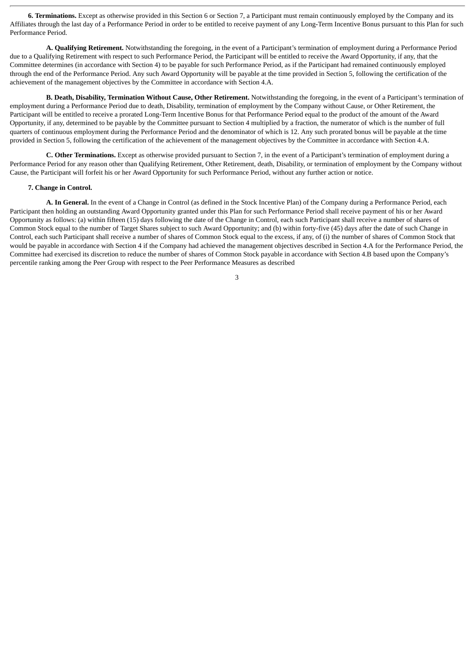**6. Terminations.** Except as otherwise provided in this Section 6 or Section 7, a Participant must remain continuously employed by the Company and its Affiliates through the last day of a Performance Period in order to be entitled to receive payment of any Long-Term Incentive Bonus pursuant to this Plan for such Performance Period.

**A. Qualifying Retirement.** Notwithstanding the foregoing, in the event of a Participant's termination of employment during a Performance Period due to a Qualifying Retirement with respect to such Performance Period, the Participant will be entitled to receive the Award Opportunity, if any, that the Committee determines (in accordance with Section 4) to be payable for such Performance Period, as if the Participant had remained continuously employed through the end of the Performance Period. Any such Award Opportunity will be payable at the time provided in Section 5, following the certification of the achievement of the management objectives by the Committee in accordance with Section 4.A.

**B. Death, Disability, Termination Without Cause, Other Retirement.** Notwithstanding the foregoing, in the event of a Participant's termination of employment during a Performance Period due to death, Disability, termination of employment by the Company without Cause, or Other Retirement, the Participant will be entitled to receive a prorated Long-Term Incentive Bonus for that Performance Period equal to the product of the amount of the Award Opportunity, if any, determined to be payable by the Committee pursuant to Section 4 multiplied by a fraction, the numerator of which is the number of full quarters of continuous employment during the Performance Period and the denominator of which is 12. Any such prorated bonus will be payable at the time provided in Section 5, following the certification of the achievement of the management objectives by the Committee in accordance with Section 4.A.

**C. Other Terminations.** Except as otherwise provided pursuant to Section 7, in the event of a Participant's termination of employment during a Performance Period for any reason other than Qualifying Retirement, Other Retirement, death, Disability, or termination of employment by the Company without Cause, the Participant will forfeit his or her Award Opportunity for such Performance Period, without any further action or notice.

#### **7. Change in Control.**

**A. In General.** In the event of a Change in Control (as defined in the Stock Incentive Plan) of the Company during a Performance Period, each Participant then holding an outstanding Award Opportunity granted under this Plan for such Performance Period shall receive payment of his or her Award Opportunity as follows: (a) within fifteen (15) days following the date of the Change in Control, each such Participant shall receive a number of shares of Common Stock equal to the number of Target Shares subject to such Award Opportunity; and (b) within forty-five (45) days after the date of such Change in Control, each such Participant shall receive a number of shares of Common Stock equal to the excess, if any, of (i) the number of shares of Common Stock that would be payable in accordance with Section 4 if the Company had achieved the management objectives described in Section 4.A for the Performance Period, the Committee had exercised its discretion to reduce the number of shares of Common Stock payable in accordance with Section 4.B based upon the Company's percentile ranking among the Peer Group with respect to the Peer Performance Measures as described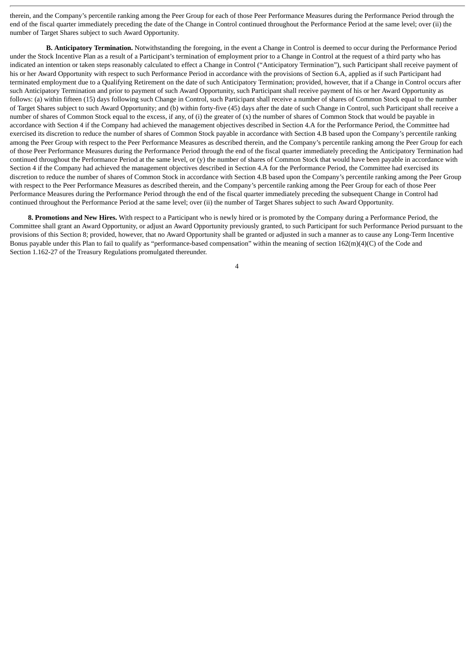therein, and the Company's percentile ranking among the Peer Group for each of those Peer Performance Measures during the Performance Period through the end of the fiscal quarter immediately preceding the date of the Change in Control continued throughout the Performance Period at the same level; over (ii) the number of Target Shares subject to such Award Opportunity.

**B. Anticipatory Termination.** Notwithstanding the foregoing, in the event a Change in Control is deemed to occur during the Performance Period under the Stock Incentive Plan as a result of a Participant's termination of employment prior to a Change in Control at the request of a third party who has indicated an intention or taken steps reasonably calculated to effect a Change in Control ("Anticipatory Termination"), such Participant shall receive payment of his or her Award Opportunity with respect to such Performance Period in accordance with the provisions of Section 6.A, applied as if such Participant had terminated employment due to a Qualifying Retirement on the date of such Anticipatory Termination; provided, however, that if a Change in Control occurs after such Anticipatory Termination and prior to payment of such Award Opportunity, such Participant shall receive payment of his or her Award Opportunity as follows: (a) within fifteen (15) days following such Change in Control, such Participant shall receive a number of shares of Common Stock equal to the number of Target Shares subject to such Award Opportunity; and (b) within forty-five (45) days after the date of such Change in Control, such Participant shall receive a number of shares of Common Stock equal to the excess, if any, of (i) the greater of (x) the number of shares of Common Stock that would be payable in accordance with Section 4 if the Company had achieved the management objectives described in Section 4.A for the Performance Period, the Committee had exercised its discretion to reduce the number of shares of Common Stock payable in accordance with Section 4.B based upon the Company's percentile ranking among the Peer Group with respect to the Peer Performance Measures as described therein, and the Company's percentile ranking among the Peer Group for each of those Peer Performance Measures during the Performance Period through the end of the fiscal quarter immediately preceding the Anticipatory Termination had continued throughout the Performance Period at the same level, or (y) the number of shares of Common Stock that would have been payable in accordance with Section 4 if the Company had achieved the management objectives described in Section 4.A for the Performance Period, the Committee had exercised its discretion to reduce the number of shares of Common Stock in accordance with Section 4.B based upon the Company's percentile ranking among the Peer Group with respect to the Peer Performance Measures as described therein, and the Company's percentile ranking among the Peer Group for each of those Peer Performance Measures during the Performance Period through the end of the fiscal quarter immediately preceding the subsequent Change in Control had continued throughout the Performance Period at the same level; over (ii) the number of Target Shares subject to such Award Opportunity.

**8. Promotions and New Hires.** With respect to a Participant who is newly hired or is promoted by the Company during a Performance Period, the Committee shall grant an Award Opportunity, or adjust an Award Opportunity previously granted, to such Participant for such Performance Period pursuant to the provisions of this Section 8; provided, however, that no Award Opportunity shall be granted or adjusted in such a manner as to cause any Long-Term Incentive Bonus payable under this Plan to fail to qualify as "performance-based compensation" within the meaning of section 162(m)(4)(C) of the Code and Section 1.162-27 of the Treasury Regulations promulgated thereunder.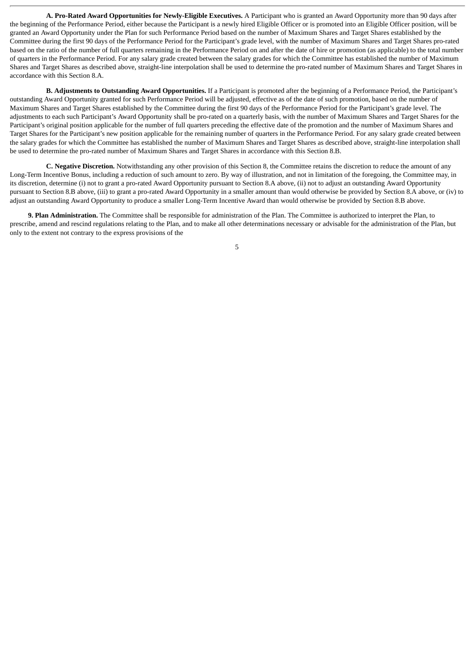**A. Pro-Rated Award Opportunities for Newly-Eligible Executives.** A Participant who is granted an Award Opportunity more than 90 days after the beginning of the Performance Period, either because the Participant is a newly hired Eligible Officer or is promoted into an Eligible Officer position, will be granted an Award Opportunity under the Plan for such Performance Period based on the number of Maximum Shares and Target Shares established by the Committee during the first 90 days of the Performance Period for the Participant's grade level, with the number of Maximum Shares and Target Shares pro-rated based on the ratio of the number of full quarters remaining in the Performance Period on and after the date of hire or promotion (as applicable) to the total number of quarters in the Performance Period. For any salary grade created between the salary grades for which the Committee has established the number of Maximum Shares and Target Shares as described above, straight-line interpolation shall be used to determine the pro-rated number of Maximum Shares and Target Shares in accordance with this Section 8.A.

**B. Adjustments to Outstanding Award Opportunities.** If a Participant is promoted after the beginning of a Performance Period, the Participant's outstanding Award Opportunity granted for such Performance Period will be adjusted, effective as of the date of such promotion, based on the number of Maximum Shares and Target Shares established by the Committee during the first 90 days of the Performance Period for the Participant's grade level. The adjustments to each such Participant's Award Opportunity shall be pro-rated on a quarterly basis, with the number of Maximum Shares and Target Shares for the Participant's original position applicable for the number of full quarters preceding the effective date of the promotion and the number of Maximum Shares and Target Shares for the Participant's new position applicable for the remaining number of quarters in the Performance Period. For any salary grade created between the salary grades for which the Committee has established the number of Maximum Shares and Target Shares as described above, straight-line interpolation shall be used to determine the pro-rated number of Maximum Shares and Target Shares in accordance with this Section 8.B.

**C. Negative Discretion.** Notwithstanding any other provision of this Section 8, the Committee retains the discretion to reduce the amount of any Long-Term Incentive Bonus, including a reduction of such amount to zero. By way of illustration, and not in limitation of the foregoing, the Committee may, in its discretion, determine (i) not to grant a pro-rated Award Opportunity pursuant to Section 8.A above, (ii) not to adjust an outstanding Award Opportunity pursuant to Section 8.B above, (iii) to grant a pro-rated Award Opportunity in a smaller amount than would otherwise be provided by Section 8.A above, or (iv) to adjust an outstanding Award Opportunity to produce a smaller Long-Term Incentive Award than would otherwise be provided by Section 8.B above.

**9. Plan Administration.** The Committee shall be responsible for administration of the Plan. The Committee is authorized to interpret the Plan, to prescribe, amend and rescind regulations relating to the Plan, and to make all other determinations necessary or advisable for the administration of the Plan, but only to the extent not contrary to the express provisions of the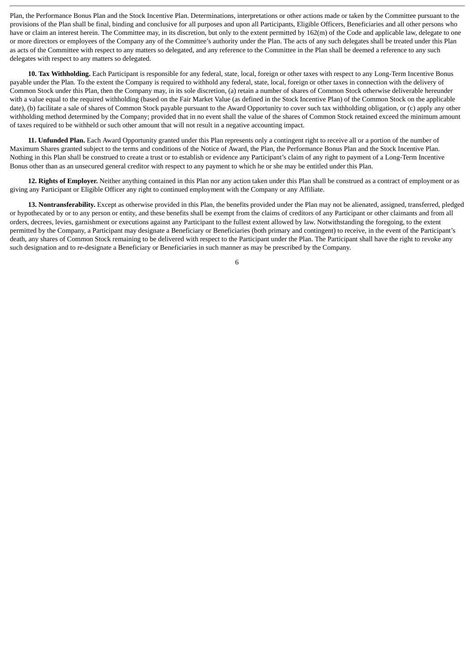Plan, the Performance Bonus Plan and the Stock Incentive Plan. Determinations, interpretations or other actions made or taken by the Committee pursuant to the provisions of the Plan shall be final, binding and conclusive for all purposes and upon all Participants, Eligible Officers, Beneficiaries and all other persons who have or claim an interest herein. The Committee may, in its discretion, but only to the extent permitted by 162(m) of the Code and applicable law, delegate to one or more directors or employees of the Company any of the Committee's authority under the Plan. The acts of any such delegates shall be treated under this Plan as acts of the Committee with respect to any matters so delegated, and any reference to the Committee in the Plan shall be deemed a reference to any such delegates with respect to any matters so delegated.

**10. Tax Withholding.** Each Participant is responsible for any federal, state, local, foreign or other taxes with respect to any Long-Term Incentive Bonus payable under the Plan. To the extent the Company is required to withhold any federal, state, local, foreign or other taxes in connection with the delivery of Common Stock under this Plan, then the Company may, in its sole discretion, (a) retain a number of shares of Common Stock otherwise deliverable hereunder with a value equal to the required withholding (based on the Fair Market Value (as defined in the Stock Incentive Plan) of the Common Stock on the applicable date), (b) facilitate a sale of shares of Common Stock payable pursuant to the Award Opportunity to cover such tax withholding obligation, or (c) apply any other withholding method determined by the Company; provided that in no event shall the value of the shares of Common Stock retained exceed the minimum amount of taxes required to be withheld or such other amount that will not result in a negative accounting impact.

**11. Unfunded Plan.** Each Award Opportunity granted under this Plan represents only a contingent right to receive all or a portion of the number of Maximum Shares granted subject to the terms and conditions of the Notice of Award, the Plan, the Performance Bonus Plan and the Stock Incentive Plan. Nothing in this Plan shall be construed to create a trust or to establish or evidence any Participant's claim of any right to payment of a Long-Term Incentive Bonus other than as an unsecured general creditor with respect to any payment to which he or she may be entitled under this Plan.

**12. Rights of Employer.** Neither anything contained in this Plan nor any action taken under this Plan shall be construed as a contract of employment or as giving any Participant or Eligible Officer any right to continued employment with the Company or any Affiliate.

**13. Nontransferability.** Except as otherwise provided in this Plan, the benefits provided under the Plan may not be alienated, assigned, transferred, pledged or hypothecated by or to any person or entity, and these benefits shall be exempt from the claims of creditors of any Participant or other claimants and from all orders, decrees, levies, garnishment or executions against any Participant to the fullest extent allowed by law. Notwithstanding the foregoing, to the extent permitted by the Company, a Participant may designate a Beneficiary or Beneficiaries (both primary and contingent) to receive, in the event of the Participant's death, any shares of Common Stock remaining to be delivered with respect to the Participant under the Plan. The Participant shall have the right to revoke any such designation and to re-designate a Beneficiary or Beneficiaries in such manner as may be prescribed by the Company.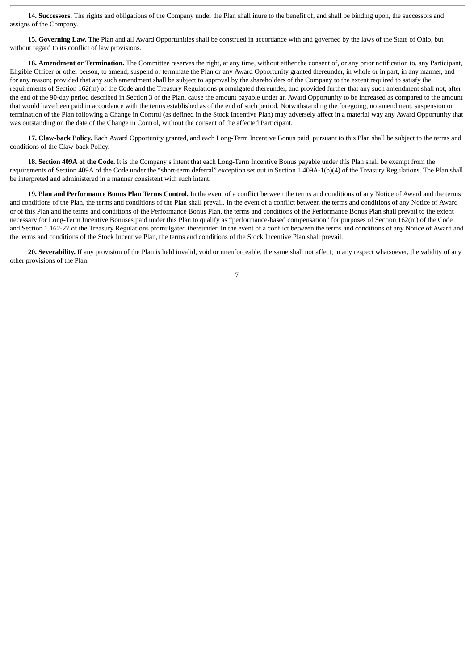**14. Successors.** The rights and obligations of the Company under the Plan shall inure to the benefit of, and shall be binding upon, the successors and assigns of the Company.

**15. Governing Law.** The Plan and all Award Opportunities shall be construed in accordance with and governed by the laws of the State of Ohio, but without regard to its conflict of law provisions.

**16. Amendment or Termination.** The Committee reserves the right, at any time, without either the consent of, or any prior notification to, any Participant, Eligible Officer or other person, to amend, suspend or terminate the Plan or any Award Opportunity granted thereunder, in whole or in part, in any manner, and for any reason; provided that any such amendment shall be subject to approval by the shareholders of the Company to the extent required to satisfy the requirements of Section 162(m) of the Code and the Treasury Regulations promulgated thereunder, and provided further that any such amendment shall not, after the end of the 90-day period described in Section 3 of the Plan, cause the amount payable under an Award Opportunity to be increased as compared to the amount that would have been paid in accordance with the terms established as of the end of such period. Notwithstanding the foregoing, no amendment, suspension or termination of the Plan following a Change in Control (as defined in the Stock Incentive Plan) may adversely affect in a material way any Award Opportunity that was outstanding on the date of the Change in Control, without the consent of the affected Participant.

**17. Claw-back Policy.** Each Award Opportunity granted, and each Long-Term Incentive Bonus paid, pursuant to this Plan shall be subject to the terms and conditions of the Claw-back Policy.

**18. Section 409A of the Code.** It is the Company's intent that each Long-Term Incentive Bonus payable under this Plan shall be exempt from the requirements of Section 409A of the Code under the "short-term deferral" exception set out in Section 1.409A-1(b)(4) of the Treasury Regulations. The Plan shall be interpreted and administered in a manner consistent with such intent.

**19. Plan and Performance Bonus Plan Terms Control.** In the event of a conflict between the terms and conditions of any Notice of Award and the terms and conditions of the Plan, the terms and conditions of the Plan shall prevail. In the event of a conflict between the terms and conditions of any Notice of Award or of this Plan and the terms and conditions of the Performance Bonus Plan, the terms and conditions of the Performance Bonus Plan shall prevail to the extent necessary for Long-Term Incentive Bonuses paid under this Plan to qualify as "performance-based compensation" for purposes of Section 162(m) of the Code and Section 1.162-27 of the Treasury Regulations promulgated thereunder. In the event of a conflict between the terms and conditions of any Notice of Award and the terms and conditions of the Stock Incentive Plan, the terms and conditions of the Stock Incentive Plan shall prevail.

**20. Severability.** If any provision of the Plan is held invalid, void or unenforceable, the same shall not affect, in any respect whatsoever, the validity of any other provisions of the Plan.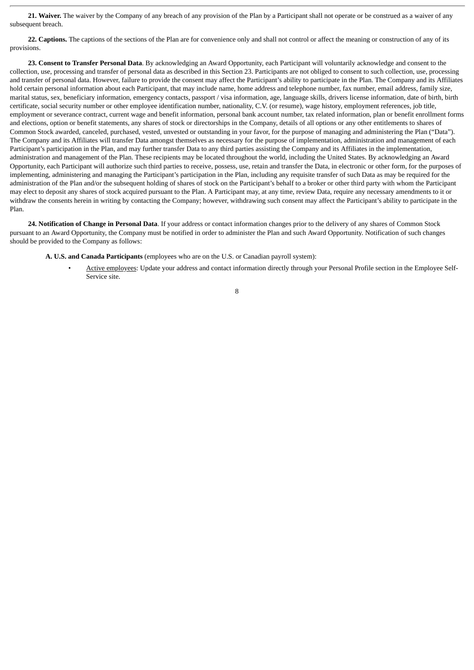**21. Waiver.** The waiver by the Company of any breach of any provision of the Plan by a Participant shall not operate or be construed as a waiver of any subsequent breach.

**22. Captions.** The captions of the sections of the Plan are for convenience only and shall not control or affect the meaning or construction of any of its provisions.

**23. Consent to Transfer Personal Data**. By acknowledging an Award Opportunity, each Participant will voluntarily acknowledge and consent to the collection, use, processing and transfer of personal data as described in this Section 23. Participants are not obliged to consent to such collection, use, processing and transfer of personal data. However, failure to provide the consent may affect the Participant's ability to participate in the Plan. The Company and its Affiliates hold certain personal information about each Participant, that may include name, home address and telephone number, fax number, email address, family size, marital status, sex, beneficiary information, emergency contacts, passport / visa information, age, language skills, drivers license information, date of birth, birth certificate, social security number or other employee identification number, nationality, C.V. (or resume), wage history, employment references, job title, employment or severance contract, current wage and benefit information, personal bank account number, tax related information, plan or benefit enrollment forms and elections, option or benefit statements, any shares of stock or directorships in the Company, details of all options or any other entitlements to shares of Common Stock awarded, canceled, purchased, vested, unvested or outstanding in your favor, for the purpose of managing and administering the Plan ("Data"). The Company and its Affiliates will transfer Data amongst themselves as necessary for the purpose of implementation, administration and management of each Participant's participation in the Plan, and may further transfer Data to any third parties assisting the Company and its Affiliates in the implementation, administration and management of the Plan. These recipients may be located throughout the world, including the United States. By acknowledging an Award Opportunity, each Participant will authorize such third parties to receive, possess, use, retain and transfer the Data, in electronic or other form, for the purposes of implementing, administering and managing the Participant's participation in the Plan, including any requisite transfer of such Data as may be required for the administration of the Plan and/or the subsequent holding of shares of stock on the Participant's behalf to a broker or other third party with whom the Participant may elect to deposit any shares of stock acquired pursuant to the Plan. A Participant may, at any time, review Data, require any necessary amendments to it or withdraw the consents herein in writing by contacting the Company; however, withdrawing such consent may affect the Participant's ability to participate in the Plan.

**24. Notification of Change in Personal Data**. If your address or contact information changes prior to the delivery of any shares of Common Stock pursuant to an Award Opportunity, the Company must be notified in order to administer the Plan and such Award Opportunity. Notification of such changes should be provided to the Company as follows:

**A. U.S. and Canada Participants** (employees who are on the U.S. or Canadian payroll system):

• Active employees: Update your address and contact information directly through your Personal Profile section in the Employee Self-Service site.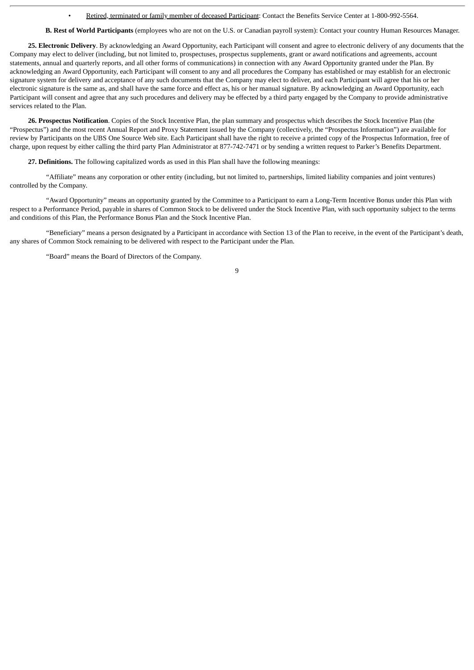• Retired, terminated or family member of deceased Participant: Contact the Benefits Service Center at 1-800-992-5564.

**B. Rest of World Participants** (employees who are not on the U.S. or Canadian payroll system): Contact your country Human Resources Manager.

**25. Electronic Delivery**. By acknowledging an Award Opportunity, each Participant will consent and agree to electronic delivery of any documents that the Company may elect to deliver (including, but not limited to, prospectuses, prospectus supplements, grant or award notifications and agreements, account statements, annual and quarterly reports, and all other forms of communications) in connection with any Award Opportunity granted under the Plan. By acknowledging an Award Opportunity, each Participant will consent to any and all procedures the Company has established or may establish for an electronic signature system for delivery and acceptance of any such documents that the Company may elect to deliver, and each Participant will agree that his or her electronic signature is the same as, and shall have the same force and effect as, his or her manual signature. By acknowledging an Award Opportunity, each Participant will consent and agree that any such procedures and delivery may be effected by a third party engaged by the Company to provide administrative services related to the Plan.

**26. Prospectus Notification**. Copies of the Stock Incentive Plan, the plan summary and prospectus which describes the Stock Incentive Plan (the "Prospectus") and the most recent Annual Report and Proxy Statement issued by the Company (collectively, the "Prospectus Information") are available for review by Participants on the UBS One Source Web site. Each Participant shall have the right to receive a printed copy of the Prospectus Information, free of charge, upon request by either calling the third party Plan Administrator at 877-742-7471 or by sending a written request to Parker's Benefits Department.

**27. Definitions.** The following capitalized words as used in this Plan shall have the following meanings:

"Affiliate" means any corporation or other entity (including, but not limited to, partnerships, limited liability companies and joint ventures) controlled by the Company.

"Award Opportunity" means an opportunity granted by the Committee to a Participant to earn a Long-Term Incentive Bonus under this Plan with respect to a Performance Period, payable in shares of Common Stock to be delivered under the Stock Incentive Plan, with such opportunity subject to the terms and conditions of this Plan, the Performance Bonus Plan and the Stock Incentive Plan.

"Beneficiary" means a person designated by a Participant in accordance with Section 13 of the Plan to receive, in the event of the Participant's death, any shares of Common Stock remaining to be delivered with respect to the Participant under the Plan.

"Board" means the Board of Directors of the Company.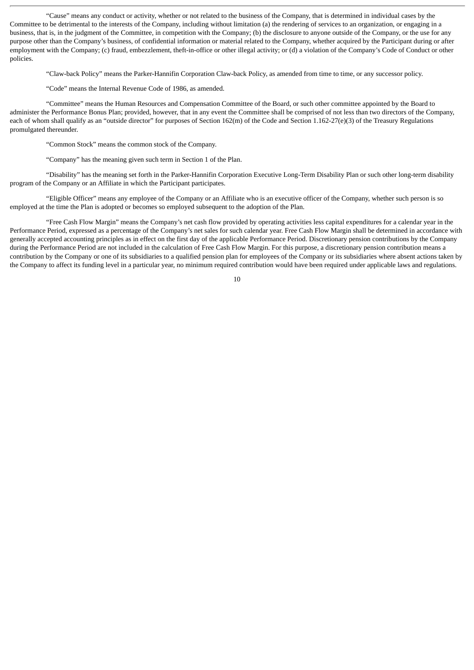"Cause" means any conduct or activity, whether or not related to the business of the Company, that is determined in individual cases by the Committee to be detrimental to the interests of the Company, including without limitation (a) the rendering of services to an organization, or engaging in a business, that is, in the judgment of the Committee, in competition with the Company; (b) the disclosure to anyone outside of the Company, or the use for any purpose other than the Company's business, of confidential information or material related to the Company, whether acquired by the Participant during or after employment with the Company; (c) fraud, embezzlement, theft-in-office or other illegal activity; or (d) a violation of the Company's Code of Conduct or other policies.

"Claw-back Policy" means the Parker-Hannifin Corporation Claw-back Policy, as amended from time to time, or any successor policy.

"Code" means the Internal Revenue Code of 1986, as amended.

"Committee" means the Human Resources and Compensation Committee of the Board, or such other committee appointed by the Board to administer the Performance Bonus Plan; provided, however, that in any event the Committee shall be comprised of not less than two directors of the Company, each of whom shall qualify as an "outside director" for purposes of Section 162(m) of the Code and Section 1.162-27(e)(3) of the Treasury Regulations promulgated thereunder.

"Common Stock" means the common stock of the Company.

"Company" has the meaning given such term in Section 1 of the Plan.

"Disability" has the meaning set forth in the Parker-Hannifin Corporation Executive Long-Term Disability Plan or such other long-term disability program of the Company or an Affiliate in which the Participant participates.

"Eligible Officer" means any employee of the Company or an Affiliate who is an executive officer of the Company, whether such person is so employed at the time the Plan is adopted or becomes so employed subsequent to the adoption of the Plan.

"Free Cash Flow Margin" means the Company's net cash flow provided by operating activities less capital expenditures for a calendar year in the Performance Period, expressed as a percentage of the Company's net sales for such calendar year. Free Cash Flow Margin shall be determined in accordance with generally accepted accounting principles as in effect on the first day of the applicable Performance Period. Discretionary pension contributions by the Company during the Performance Period are not included in the calculation of Free Cash Flow Margin. For this purpose, a discretionary pension contribution means a contribution by the Company or one of its subsidiaries to a qualified pension plan for employees of the Company or its subsidiaries where absent actions taken by the Company to affect its funding level in a particular year, no minimum required contribution would have been required under applicable laws and regulations.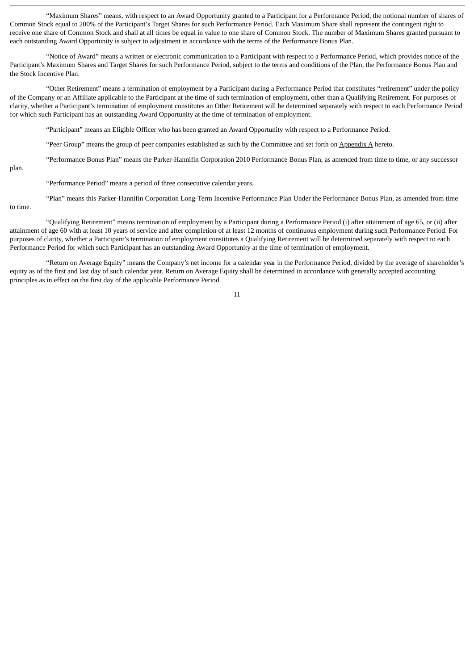"Maximum Shares" means, with respect to an Award Opportunity granted to a Participant for a Performance Period, the notional number of shares of Common Stock equal to 200% of the Participant's Target Shares for such Performance Period. Each Maximum Share shall represent the contingent right to receive one share of Common Stock and shall at all times be equal in value to one share of Common Stock. The number of Maximum Shares granted pursuant to each outstanding Award Opportunity is subject to adjustment in accordance with the terms of the Performance Bonus Plan.

"Notice of Award" means a written or electronic communication to a Participant with respect to a Performance Period, which provides notice of the Participant's Maximum Shares and Target Shares for such Performance Period, subject to the terms and conditions of the Plan, the Performance Bonus Plan and the Stock Incentive Plan.

"Other Retirement" means a termination of employment by a Participant during a Performance Period that constitutes "retirement" under the policy of the Company or an Affiliate applicable to the Participant at the time of such termination of employment, other than a Qualifying Retirement. For purposes of clarity, whether a Participant's termination of employment constitutes an Other Retirement will be determined separately with respect to each Performance Period for which such Participant has an outstanding Award Opportunity at the time of termination of employment.

"Participant" means an Eligible Officer who has been granted an Award Opportunity with respect to a Performance Period.

"Peer Group" means the group of peer companies established as such by the Committee and set forth on Appendix A hereto.

"Performance Bonus Plan" means the Parker-Hannifin Corporation 2010 Performance Bonus Plan, as amended from time to time, or any successor

plan.

"Performance Period" means a period of three consecutive calendar years.

"Plan" means this Parker-Hannifin Corporation Long-Term Incentive Performance Plan Under the Performance Bonus Plan, as amended from time

to time.

"Qualifying Retirement" means termination of employment by a Participant during a Performance Period (i) after attainment of age 65, or (ii) after attainment of age 60 with at least 10 years of service and after completion of at least 12 months of continuous employment during such Performance Period. For purposes of clarity, whether a Participant's termination of employment constitutes a Qualifying Retirement will be determined separately with respect to each Performance Period for which such Participant has an outstanding Award Opportunity at the time of termination of employment.

"Return on Average Equity" means the Company's net income for a calendar year in the Performance Period, divided by the average of shareholder's equity as of the first and last day of such calendar year. Return on Average Equity shall be determined in accordance with generally accepted accounting principles as in effect on the first day of the applicable Performance Period.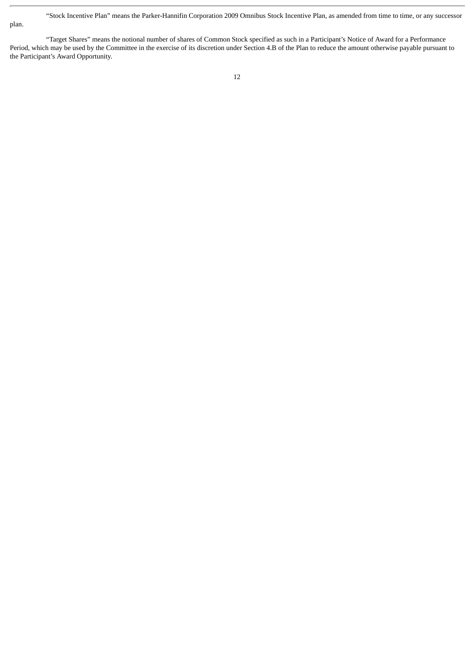"Stock Incentive Plan" means the Parker-Hannifin Corporation 2009 Omnibus Stock Incentive Plan, as amended from time to time, or any successor

plan.

"Target Shares" means the notional number of shares of Common Stock specified as such in a Participant's Notice of Award for a Performance Period, which may be used by the Committee in the exercise of its discretion under Section 4.B of the Plan to reduce the amount otherwise payable pursuant to the Participant's Award Opportunity.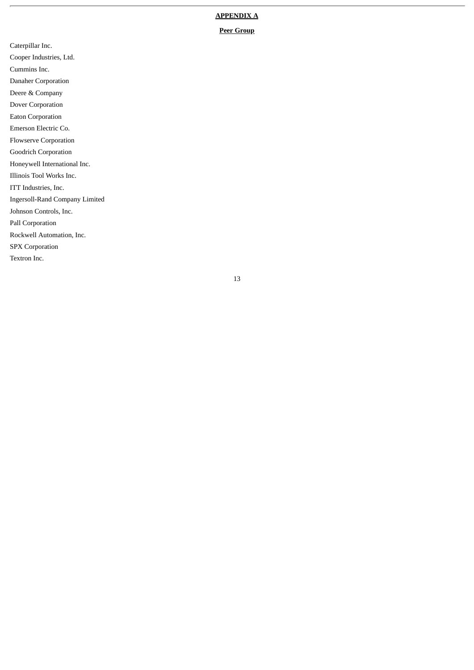# **APPENDIX A**

#### **Peer Group**

Caterpillar Inc. Cooper Industries, Ltd. Cummins Inc. Danaher Corporation Deere & Company Dover Corporation Eaton Corporation Emerson Electric Co. Flowserve Corporation Goodrich Corporation Honeywell International Inc. Illinois Tool Works Inc. ITT Industries, Inc. Ingersoll-Rand Company Limited Johnson Controls, Inc. Pall Corporation Rockwell Automation, Inc. SPX Corporation Textron Inc.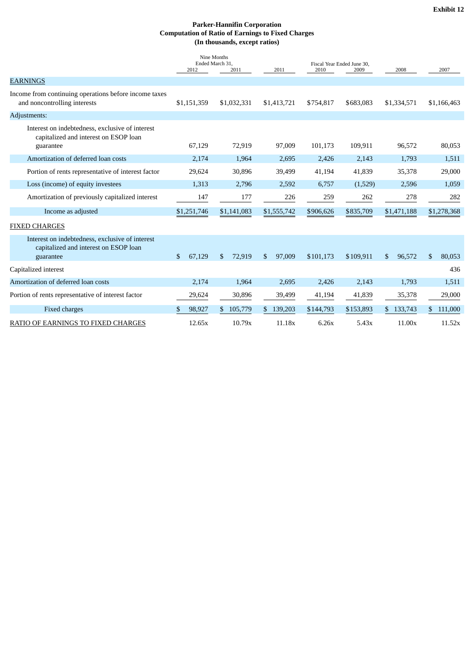#### **Parker-Hannifin Corporation Computation of Ratio of Earnings to Fixed Charges (In thousands, except ratios)**

|                                                                                                       | 2012         | Nine Months<br>Ended March 31,<br>2011 | 2011          | 2010      | Fiscal Year Ended June 30,<br>2009 | 2008          | 2007          |
|-------------------------------------------------------------------------------------------------------|--------------|----------------------------------------|---------------|-----------|------------------------------------|---------------|---------------|
| <b>EARNINGS</b>                                                                                       |              |                                        |               |           |                                    |               |               |
| Income from continuing operations before income taxes<br>and noncontrolling interests                 | \$1,151,359  | \$1,032,331                            | \$1,413,721   | \$754.817 | \$683,083                          | \$1,334,571   | \$1,166,463   |
| Adjustments:                                                                                          |              |                                        |               |           |                                    |               |               |
| Interest on indebtedness, exclusive of interest<br>capitalized and interest on ESOP loan<br>guarantee | 67,129       | 72,919                                 | 97,009        | 101,173   | 109,911                            | 96,572        | 80,053        |
| Amortization of deferred loan costs                                                                   | 2,174        | 1,964                                  | 2,695         | 2,426     | 2,143                              | 1,793         | 1,511         |
| Portion of rents representative of interest factor                                                    | 29,624       | 30,896                                 | 39,499        | 41,194    | 41,839                             | 35,378        | 29,000        |
| Loss (income) of equity investees                                                                     | 1,313        | 2,796                                  | 2,592         | 6.757     | (1,529)                            | 2,596         | 1,059         |
| Amortization of previously capitalized interest                                                       | 147          | 177                                    | 226           | 259       | 262                                | 278           | 282           |
| Income as adjusted                                                                                    | \$1,251,746  | \$1,141,083                            | \$1,555,742   | \$906,626 | \$835,709                          | \$1,471,188   | \$1,278,368   |
| <b>FIXED CHARGES</b>                                                                                  |              |                                        |               |           |                                    |               |               |
| Interest on indebtedness, exclusive of interest<br>capitalized and interest on ESOP loan<br>guarantee | \$<br>67,129 | \$<br>72,919                           | \$<br>97,009  | \$101.173 | \$109.911                          | \$<br>96,572  | \$<br>80,053  |
| Capitalized interest                                                                                  |              |                                        |               |           |                                    |               | 436           |
| Amortization of deferred loan costs                                                                   | 2.174        | 1,964                                  | 2,695         | 2,426     | 2,143                              | 1,793         | 1,511         |
| Portion of rents representative of interest factor                                                    | 29,624       | 30,896                                 | 39,499        | 41,194    | 41,839                             | 35,378        | 29,000        |
| Fixed charges                                                                                         | 98,927<br>\$ | \$105,779                              | 139,203<br>S. | \$144,793 | \$153,893                          | 133,743<br>S. | 111,000<br>S. |
| RATIO OF EARNINGS TO FIXED CHARGES                                                                    | 12.65x       | 10.79x                                 | 11.18x        | 6.26x     | 5.43x                              | 11.00x        | 11.52x        |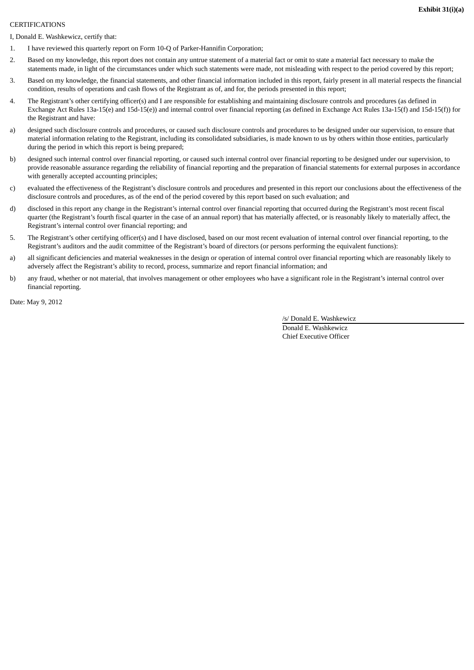#### CERTIFICATIONS

I, Donald E. Washkewicz, certify that:

- 1. I have reviewed this quarterly report on Form 10-Q of Parker-Hannifin Corporation;
- 2. Based on my knowledge, this report does not contain any untrue statement of a material fact or omit to state a material fact necessary to make the statements made, in light of the circumstances under which such statements were made, not misleading with respect to the period covered by this report;
- 3. Based on my knowledge, the financial statements, and other financial information included in this report, fairly present in all material respects the financial condition, results of operations and cash flows of the Registrant as of, and for, the periods presented in this report;
- 4. The Registrant's other certifying officer(s) and I are responsible for establishing and maintaining disclosure controls and procedures (as defined in Exchange Act Rules 13a-15(e) and 15d-15(e)) and internal control over financial reporting (as defined in Exchange Act Rules 13a-15(f) and 15d-15(f)) for the Registrant and have:
- a) designed such disclosure controls and procedures, or caused such disclosure controls and procedures to be designed under our supervision, to ensure that material information relating to the Registrant, including its consolidated subsidiaries, is made known to us by others within those entities, particularly during the period in which this report is being prepared;
- b) designed such internal control over financial reporting, or caused such internal control over financial reporting to be designed under our supervision, to provide reasonable assurance regarding the reliability of financial reporting and the preparation of financial statements for external purposes in accordance with generally accepted accounting principles;
- c) evaluated the effectiveness of the Registrant's disclosure controls and procedures and presented in this report our conclusions about the effectiveness of the disclosure controls and procedures, as of the end of the period covered by this report based on such evaluation; and
- d) disclosed in this report any change in the Registrant's internal control over financial reporting that occurred during the Registrant's most recent fiscal quarter (the Registrant's fourth fiscal quarter in the case of an annual report) that has materially affected, or is reasonably likely to materially affect, the Registrant's internal control over financial reporting; and
- 5. The Registrant's other certifying officer(s) and I have disclosed, based on our most recent evaluation of internal control over financial reporting, to the Registrant's auditors and the audit committee of the Registrant's board of directors (or persons performing the equivalent functions):
- a) all significant deficiencies and material weaknesses in the design or operation of internal control over financial reporting which are reasonably likely to adversely affect the Registrant's ability to record, process, summarize and report financial information; and
- b) any fraud, whether or not material, that involves management or other employees who have a significant role in the Registrant's internal control over financial reporting.

Date: May 9, 2012

/s/ Donald E. Washkewicz Donald E. Washkewicz Chief Executive Officer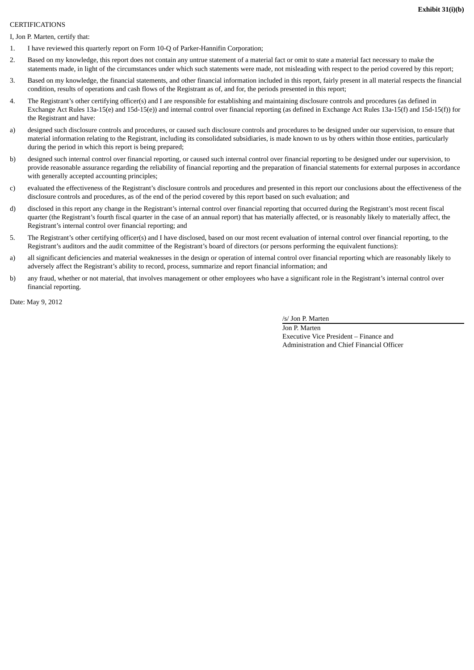#### CERTIFICATIONS

I, Jon P. Marten, certify that:

- 1. I have reviewed this quarterly report on Form 10-Q of Parker-Hannifin Corporation;
- 2. Based on my knowledge, this report does not contain any untrue statement of a material fact or omit to state a material fact necessary to make the statements made, in light of the circumstances under which such statements were made, not misleading with respect to the period covered by this report;
- 3. Based on my knowledge, the financial statements, and other financial information included in this report, fairly present in all material respects the financial condition, results of operations and cash flows of the Registrant as of, and for, the periods presented in this report;
- 4. The Registrant's other certifying officer(s) and I are responsible for establishing and maintaining disclosure controls and procedures (as defined in Exchange Act Rules 13a-15(e) and 15d-15(e)) and internal control over financial reporting (as defined in Exchange Act Rules 13a-15(f) and 15d-15(f)) for the Registrant and have:
- a) designed such disclosure controls and procedures, or caused such disclosure controls and procedures to be designed under our supervision, to ensure that material information relating to the Registrant, including its consolidated subsidiaries, is made known to us by others within those entities, particularly during the period in which this report is being prepared;
- b) designed such internal control over financial reporting, or caused such internal control over financial reporting to be designed under our supervision, to provide reasonable assurance regarding the reliability of financial reporting and the preparation of financial statements for external purposes in accordance with generally accepted accounting principles;
- c) evaluated the effectiveness of the Registrant's disclosure controls and procedures and presented in this report our conclusions about the effectiveness of the disclosure controls and procedures, as of the end of the period covered by this report based on such evaluation; and
- d) disclosed in this report any change in the Registrant's internal control over financial reporting that occurred during the Registrant's most recent fiscal quarter (the Registrant's fourth fiscal quarter in the case of an annual report) that has materially affected, or is reasonably likely to materially affect, the Registrant's internal control over financial reporting; and
- 5. The Registrant's other certifying officer(s) and I have disclosed, based on our most recent evaluation of internal control over financial reporting, to the Registrant's auditors and the audit committee of the Registrant's board of directors (or persons performing the equivalent functions):
- a) all significant deficiencies and material weaknesses in the design or operation of internal control over financial reporting which are reasonably likely to adversely affect the Registrant's ability to record, process, summarize and report financial information; and
- b) any fraud, whether or not material, that involves management or other employees who have a significant role in the Registrant's internal control over financial reporting.

Date: May 9, 2012

/s/ Jon P. Marten

Jon P. Marten Executive Vice President – Finance and Administration and Chief Financial Officer